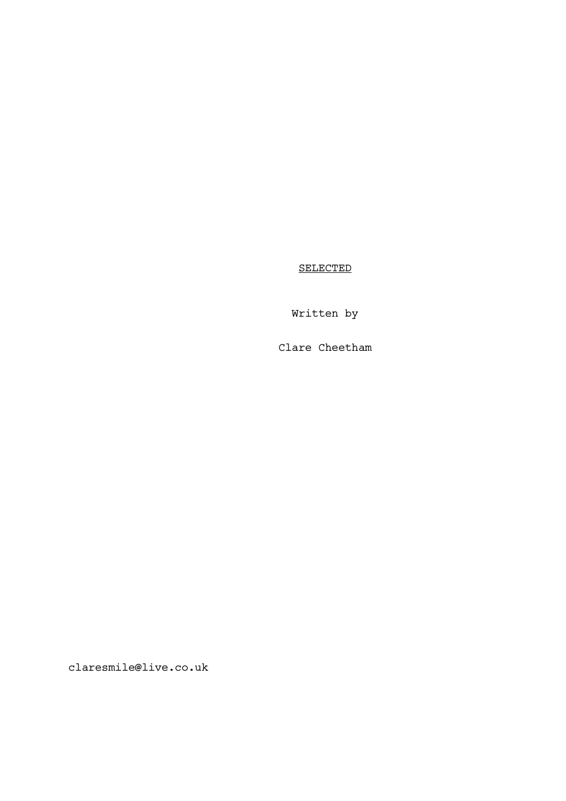SELECTED

Written by

Clare Cheetham

claresmile@live.co.uk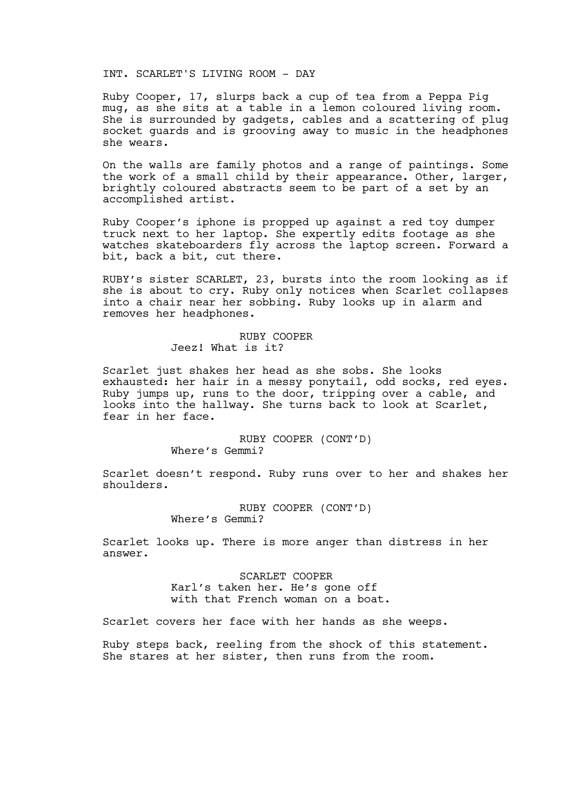# INT. SCARLET'S LIVING ROOM - DAY

Ruby Cooper, 17, slurps back a cup of tea from a Peppa Pig mug, as she sits at a table in a lemon coloured living room. She is surrounded by gadgets, cables and a scattering of plug socket guards and is grooving away to music in the headphones she wears.

On the walls are family photos and a range of paintings. Some the work of a small child by their appearance. Other, larger, brightly coloured abstracts seem to be part of a set by an accomplished artist.

Ruby Cooper's iphone is propped up against a red toy dumper truck next to her laptop. She expertly edits footage as she watches skateboarders fly across the laptop screen. Forward a bit, back a bit, cut there.

RUBY's sister SCARLET, 23, bursts into the room looking as if she is about to cry. Ruby only notices when Scarlet collapses into a chair near her sobbing. Ruby looks up in alarm and removes her headphones.

# RUBY COOPER Jeez! What is it?

Scarlet just shakes her head as she sobs. She looks exhausted: her hair in a messy ponytail, odd socks, red eyes. Ruby jumps up, runs to the door, tripping over a cable, and looks into the hallway. She turns back to look at Scarlet, fear in her face.

> RUBY COOPER (CONT'D) Where's Gemmi?

Scarlet doesn't respond. Ruby runs over to her and shakes her shoulders.

> RUBY COOPER (CONT'D) Where's Gemmi?

Scarlet looks up. There is more anger than distress in her answer.

> SCARLET COOPER Karl's taken her. He's gone off with that French woman on a boat.

Scarlet covers her face with her hands as she weeps.

Ruby steps back, reeling from the shock of this statement. She stares at her sister, then runs from the room.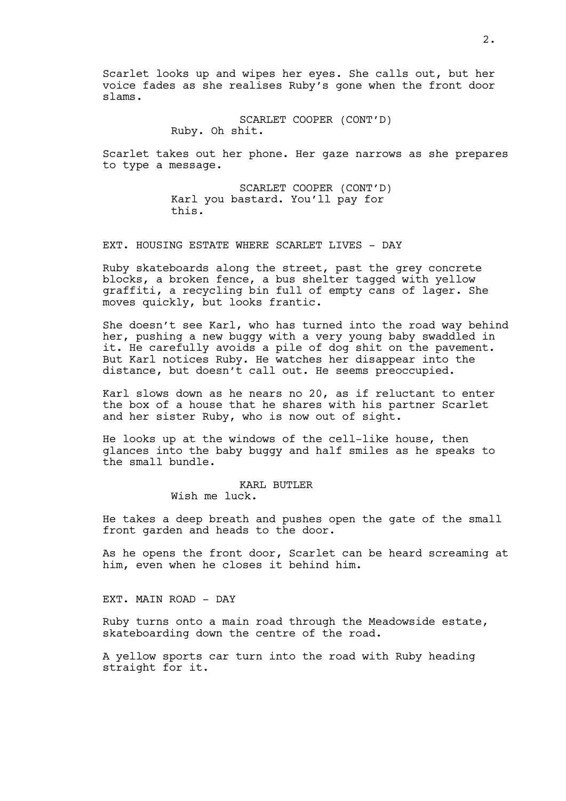Scarlet looks up and wipes her eyes. She calls out, but her voice fades as she realises Ruby's gone when the front door slams.

> SCARLET COOPER (CONT'D) Ruby. Oh shit.

Scarlet takes out her phone. Her gaze narrows as she prepares to type a message.

> SCARLET COOPER (CONT'D) Karl you bastard. You'll pay for this.

EXT. HOUSING ESTATE WHERE SCARLET LIVES - DAY

Ruby skateboards along the street, past the grey concrete blocks, a broken fence, a bus shelter tagged with yellow graffiti, a recycling bin full of empty cans of lager. She moves quickly, but looks frantic.

She doesn't see Karl, who has turned into the road way behind her, pushing a new buggy with a very young baby swaddled in it. He carefully avoids a pile of dog shit on the pavement. But Karl notices Ruby. He watches her disappear into the distance, but doesn't call out. He seems preoccupied.

Karl slows down as he nears no 20, as if reluctant to enter the box of a house that he shares with his partner Scarlet and her sister Ruby, who is now out of sight.

He looks up at the windows of the cell-like house, then glances into the baby buggy and half smiles as he speaks to the small bundle.

# KARL BUTLER

Wish me luck.

He takes a deep breath and pushes open the gate of the small front garden and heads to the door.

As he opens the front door, Scarlet can be heard screaming at him, even when he closes it behind him.

EXT. MAIN ROAD - DAY

Ruby turns onto a main road through the Meadowside estate, skateboarding down the centre of the road.

A yellow sports car turn into the road with Ruby heading straight for it.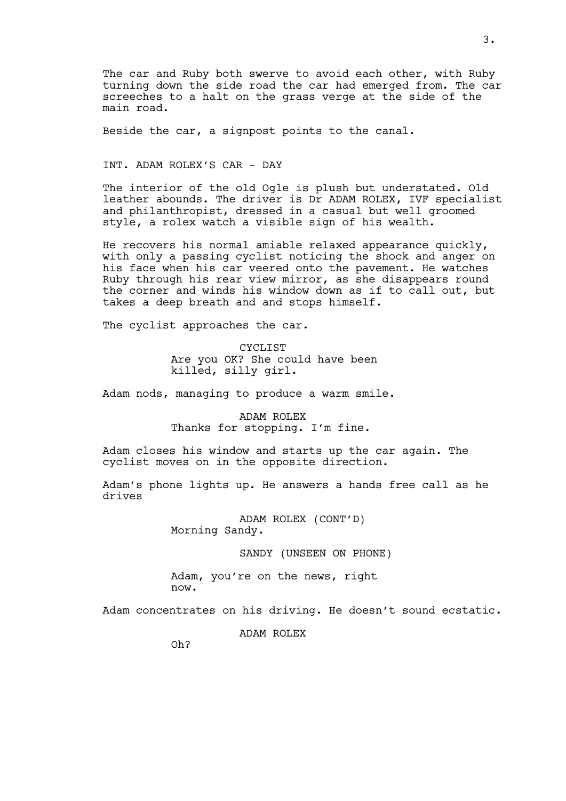The car and Ruby both swerve to avoid each other, with Ruby turning down the side road the car had emerged from. The car screeches to a halt on the grass verge at the side of the main road.

Beside the car, a signpost points to the canal.

INT. ADAM ROLEX'S CAR - DAY

The interior of the old Ogle is plush but understated. Old leather abounds. The driver is Dr ADAM ROLEX, IVF specialist and philanthropist, dressed in a casual but well groomed style, a rolex watch a visible sign of his wealth.

He recovers his normal amiable relaxed appearance quickly, with only a passing cyclist noticing the shock and anger on his face when his car veered onto the pavement. He watches Ruby through his rear view mirror, as she disappears round the corner and winds his window down as if to call out, but takes a deep breath and and stops himself.

The cyclist approaches the car.

CYCLIST Are you OK? She could have been killed, silly girl.

Adam nods, managing to produce a warm smile.

# ADAM ROLEX Thanks for stopping. I'm fine.

Adam closes his window and starts up the car again. The cyclist moves on in the opposite direction.

Adam's phone lights up. He answers a hands free call as he drives

> ADAM ROLEX (CONT'D) Morning Sandy.

> > SANDY (UNSEEN ON PHONE)

Adam, you're on the news, right now.

Adam concentrates on his driving. He doesn't sound ecstatic.

ADAM ROLEX

Oh?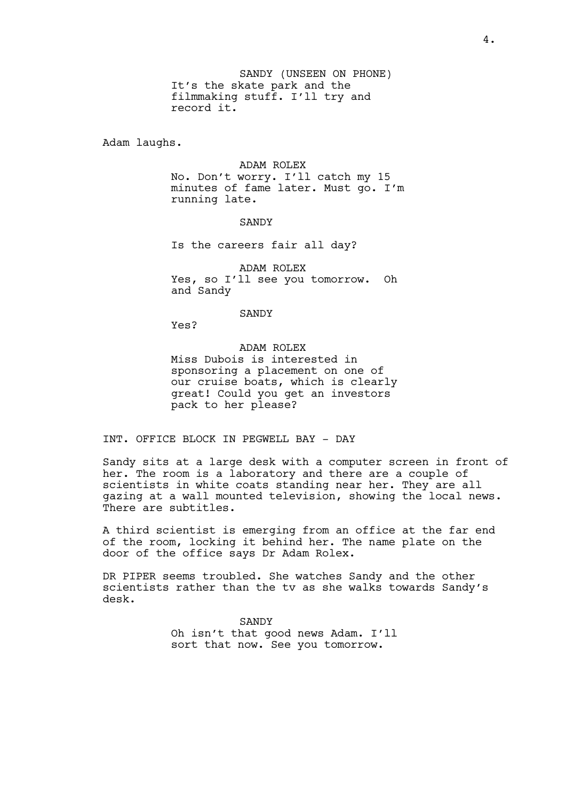SANDY (UNSEEN ON PHONE) It's the skate park and the filmmaking stuff. I'll try and record it.

Adam laughs.

#### ADAM ROLEX

No. Don't worry. I'll catch my 15 minutes of fame later. Must go. I'm running late.

#### **SANDY**

Is the careers fair all day?

ADAM ROLEX Yes, so I'll see you tomorrow. Oh and Sandy

**SANDY** 

Yes?

ADAM ROLEX Miss Dubois is interested in sponsoring a placement on one of our cruise boats, which is clearly great! Could you get an investors pack to her please?

INT. OFFICE BLOCK IN PEGWELL BAY - DAY

Sandy sits at a large desk with a computer screen in front of her. The room is a laboratory and there are a couple of scientists in white coats standing near her. They are all gazing at a wall mounted television, showing the local news. There are subtitles.

A third scientist is emerging from an office at the far end of the room, locking it behind her. The name plate on the door of the office says Dr Adam Rolex.

DR PIPER seems troubled. She watches Sandy and the other scientists rather than the tv as she walks towards Sandy's desk.

> SANDY Oh isn't that good news Adam. I'll sort that now. See you tomorrow.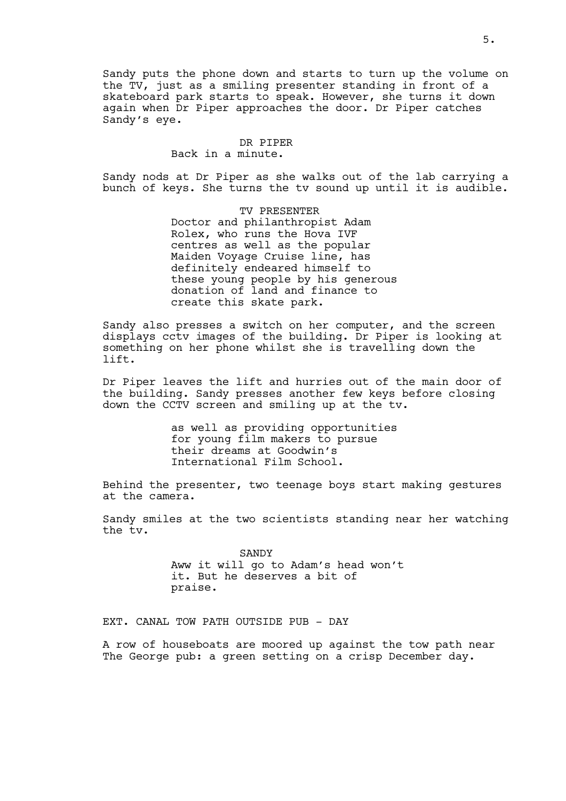Sandy puts the phone down and starts to turn up the volume on the TV, just as a smiling presenter standing in front of a skateboard park starts to speak. However, she turns it down again when Dr Piper approaches the door. Dr Piper catches Sandy's eye.

#### DR PIPER Back in a minute.

Sandy nods at Dr Piper as she walks out of the lab carrying a bunch of keys. She turns the tv sound up until it is audible.

> TV PRESENTER Doctor and philanthropist Adam Rolex, who runs the Hova IVF centres as well as the popular Maiden Voyage Cruise line, has definitely endeared himself to these young people by his generous donation of land and finance to create this skate park.

Sandy also presses a switch on her computer, and the screen displays cctv images of the building. Dr Piper is looking at something on her phone whilst she is travelling down the lift.

Dr Piper leaves the lift and hurries out of the main door of the building. Sandy presses another few keys before closing down the CCTV screen and smiling up at the tv.

> as well as providing opportunities for young film makers to pursue their dreams at Goodwin's International Film School.

Behind the presenter, two teenage boys start making gestures at the camera.

Sandy smiles at the two scientists standing near her watching the tv.

> SANDY Aww it will go to Adam's head won't it. But he deserves a bit of praise.

EXT. CANAL TOW PATH OUTSIDE PUB - DAY

A row of houseboats are moored up against the tow path near The George pub: a green setting on a crisp December day.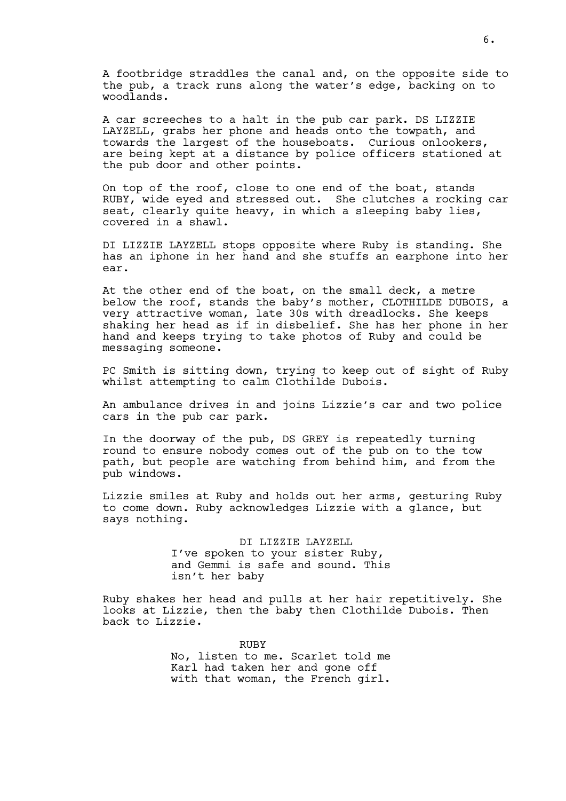A footbridge straddles the canal and, on the opposite side to the pub, a track runs along the water's edge, backing on to woodlands.

A car screeches to a halt in the pub car park. DS LIZZIE LAYZELL, grabs her phone and heads onto the towpath, and towards the largest of the houseboats. Curious onlookers, are being kept at a distance by police officers stationed at the pub door and other points.

On top of the roof, close to one end of the boat, stands RUBY, wide eyed and stressed out. She clutches a rocking car seat, clearly quite heavy, in which a sleeping baby lies, covered in a shawl.

DI LIZZIE LAYZELL stops opposite where Ruby is standing. She has an iphone in her hand and she stuffs an earphone into her ear.

At the other end of the boat, on the small deck, a metre below the roof, stands the baby's mother, CLOTHILDE DUBOIS, a very attractive woman, late 30s with dreadlocks. She keeps shaking her head as if in disbelief. She has her phone in her hand and keeps trying to take photos of Ruby and could be messaging someone.

PC Smith is sitting down, trying to keep out of sight of Ruby whilst attempting to calm Clothilde Dubois.

An ambulance drives in and joins Lizzie's car and two police cars in the pub car park.

In the doorway of the pub, DS GREY is repeatedly turning round to ensure nobody comes out of the pub on to the tow path, but people are watching from behind him, and from the pub windows.

Lizzie smiles at Ruby and holds out her arms, gesturing Ruby to come down. Ruby acknowledges Lizzie with a glance, but says nothing.

> DI LIZZIE LAYZELL I've spoken to your sister Ruby, and Gemmi is safe and sound. This isn't her baby

Ruby shakes her head and pulls at her hair repetitively. She looks at Lizzie, then the baby then Clothilde Dubois. Then back to Lizzie.

> RUBY No, listen to me. Scarlet told me Karl had taken her and gone off with that woman, the French girl.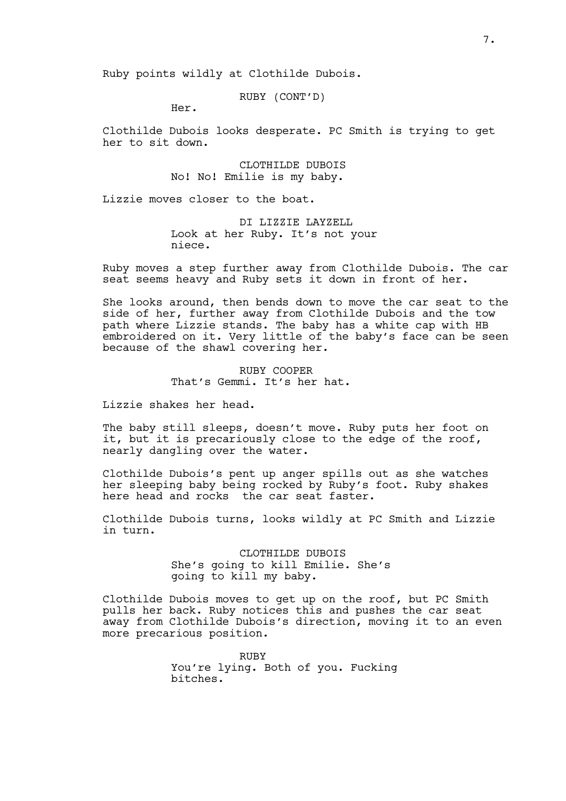Ruby points wildly at Clothilde Dubois.

RUBY (CONT'D)

Her.

Clothilde Dubois looks desperate. PC Smith is trying to get her to sit down.

> CLOTHILDE DUBOIS No! No! Emilie is my baby.

Lizzie moves closer to the boat.

DI LIZZIE LAYZELL Look at her Ruby. It's not your niece.

Ruby moves a step further away from Clothilde Dubois. The car seat seems heavy and Ruby sets it down in front of her.

She looks around, then bends down to move the car seat to the side of her, further away from Clothilde Dubois and the tow path where Lizzie stands. The baby has a white cap with HB embroidered on it. Very little of the baby's face can be seen because of the shawl covering her.

> RUBY COOPER That's Gemmi. It's her hat.

Lizzie shakes her head.

The baby still sleeps, doesn't move. Ruby puts her foot on it, but it is precariously close to the edge of the roof, nearly dangling over the water.

Clothilde Dubois's pent up anger spills out as she watches her sleeping baby being rocked by Ruby's foot. Ruby shakes here head and rocks the car seat faster.

Clothilde Dubois turns, looks wildly at PC Smith and Lizzie in turn.

> CLOTHILDE DUBOIS She's going to kill Emilie. She's going to kill my baby.

Clothilde Dubois moves to get up on the roof, but PC Smith pulls her back. Ruby notices this and pushes the car seat away from Clothilde Dubois's direction, moving it to an even more precarious position.

> RUBY You're lying. Both of you. Fucking bitches.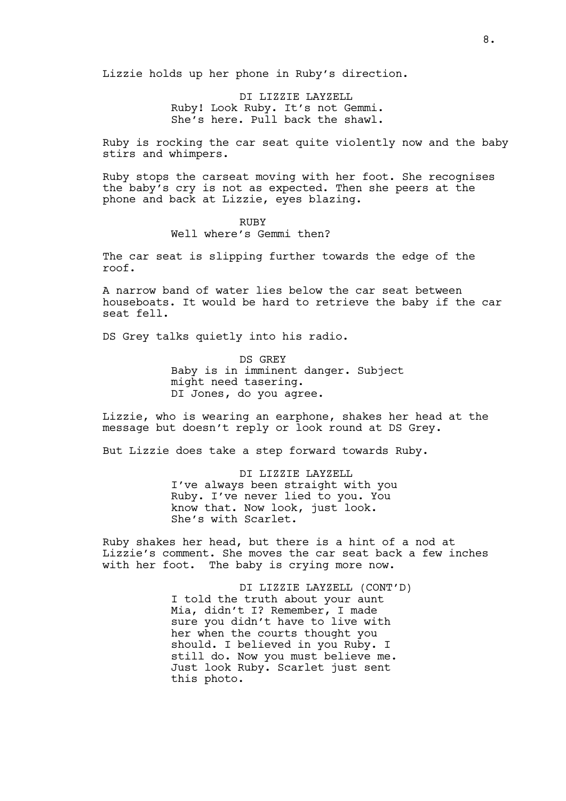Lizzie holds up her phone in Ruby's direction.

DI LIZZIE LAYZELL Ruby! Look Ruby. It's not Gemmi. She's here. Pull back the shawl.

Ruby is rocking the car seat quite violently now and the baby stirs and whimpers.

Ruby stops the carseat moving with her foot. She recognises the baby's cry is not as expected. Then she peers at the phone and back at Lizzie, eyes blazing.

# RUBY Well where's Gemmi then?

The car seat is slipping further towards the edge of the roof.

A narrow band of water lies below the car seat between houseboats. It would be hard to retrieve the baby if the car seat fell.

DS Grey talks quietly into his radio.

DS GREY Baby is in imminent danger. Subject might need tasering. DI Jones, do you agree.

Lizzie, who is wearing an earphone, shakes her head at the message but doesn't reply or look round at DS Grey.

But Lizzie does take a step forward towards Ruby.

DI LIZZIE LAYZELL I've always been straight with you Ruby. I've never lied to you. You know that. Now look, just look. She's with Scarlet.

Ruby shakes her head, but there is a hint of a nod at Lizzie's comment. She moves the car seat back a few inches with her foot. The baby is crying more now.

> DI LIZZIE LAYZELL (CONT'D) I told the truth about your aunt Mia, didn't I? Remember, I made sure you didn't have to live with her when the courts thought you should. I believed in you Ruby. I still do. Now you must believe me. Just look Ruby. Scarlet just sent this photo.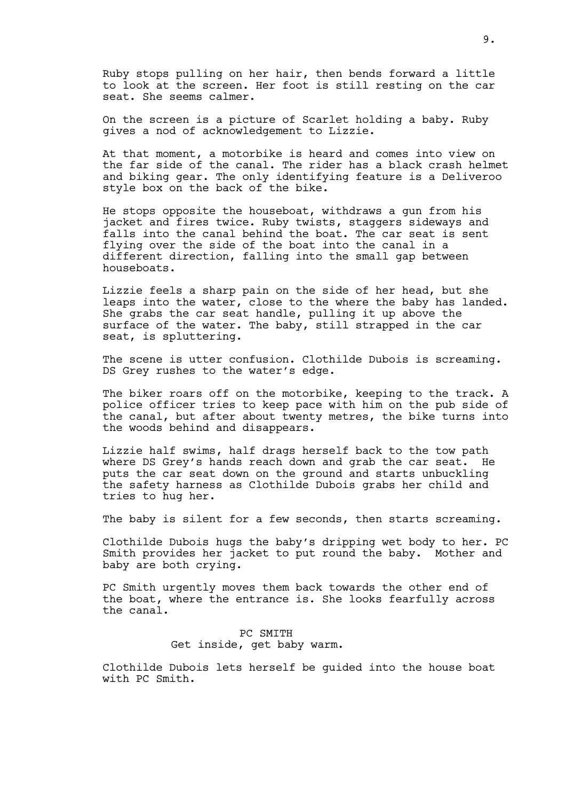Ruby stops pulling on her hair, then bends forward a little to look at the screen. Her foot is still resting on the car seat. She seems calmer.

On the screen is a picture of Scarlet holding a baby. Ruby gives a nod of acknowledgement to Lizzie.

At that moment, a motorbike is heard and comes into view on the far side of the canal. The rider has a black crash helmet and biking gear. The only identifying feature is a Deliveroo style box on the back of the bike.

He stops opposite the houseboat, withdraws a gun from his jacket and fires twice. Ruby twists, staggers sideways and falls into the canal behind the boat. The car seat is sent flying over the side of the boat into the canal in a different direction, falling into the small gap between houseboats.

Lizzie feels a sharp pain on the side of her head, but she leaps into the water, close to the where the baby has landed. She grabs the car seat handle, pulling it up above the surface of the water. The baby, still strapped in the car seat, is spluttering.

The scene is utter confusion. Clothilde Dubois is screaming. DS Grey rushes to the water's edge.

The biker roars off on the motorbike, keeping to the track. A police officer tries to keep pace with him on the pub side of the canal, but after about twenty metres, the bike turns into the woods behind and disappears.

Lizzie half swims, half drags herself back to the tow path where DS Grey's hands reach down and grab the car seat. He puts the car seat down on the ground and starts unbuckling the safety harness as Clothilde Dubois grabs her child and tries to hug her.

The baby is silent for a few seconds, then starts screaming.

Clothilde Dubois hugs the baby's dripping wet body to her. PC Smith provides her jacket to put round the baby. Mother and baby are both crying.

PC Smith urgently moves them back towards the other end of the boat, where the entrance is. She looks fearfully across the canal.

> PC SMITH Get inside, get baby warm.

Clothilde Dubois lets herself be guided into the house boat with PC Smith.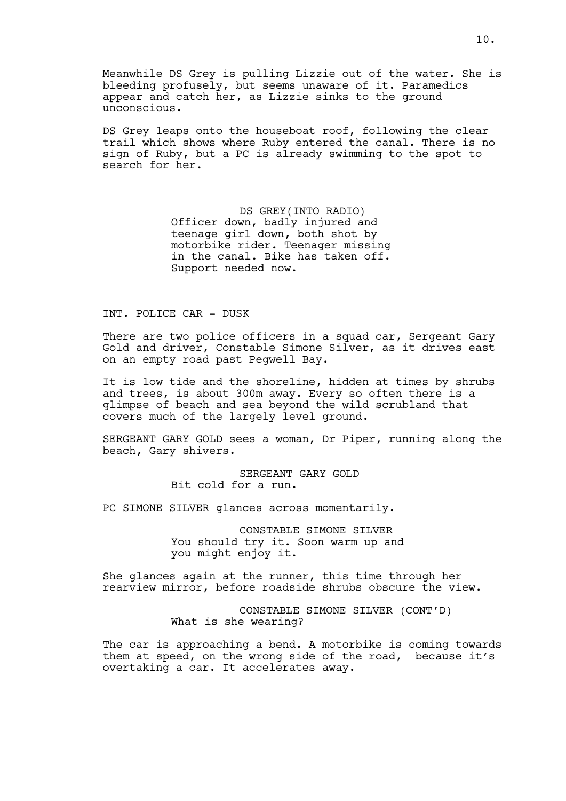Meanwhile DS Grey is pulling Lizzie out of the water. She is bleeding profusely, but seems unaware of it. Paramedics appear and catch her, as Lizzie sinks to the ground unconscious.

DS Grey leaps onto the houseboat roof, following the clear trail which shows where Ruby entered the canal. There is no sign of Ruby, but a PC is already swimming to the spot to search for her.

> DS GREY(INTO RADIO) Officer down, badly injured and teenage girl down, both shot by motorbike rider. Teenager missing in the canal. Bike has taken off. Support needed now.

#### INT. POLICE CAR - DUSK

There are two police officers in a squad car, Sergeant Gary Gold and driver, Constable Simone Silver, as it drives east on an empty road past Pegwell Bay.

It is low tide and the shoreline, hidden at times by shrubs and trees, is about 300m away. Every so often there is a glimpse of beach and sea beyond the wild scrubland that covers much of the largely level ground.

SERGEANT GARY GOLD sees a woman, Dr Piper, running along the beach, Gary shivers.

> SERGEANT GARY GOLD Bit cold for a run.

PC SIMONE SILVER glances across momentarily.

CONSTABLE SIMONE SILVER You should try it. Soon warm up and you might enjoy it.

She glances again at the runner, this time through her rearview mirror, before roadside shrubs obscure the view.

> CONSTABLE SIMONE SILVER (CONT'D) What is she wearing?

The car is approaching a bend. A motorbike is coming towards them at speed, on the wrong side of the road, because it's overtaking a car. It accelerates away.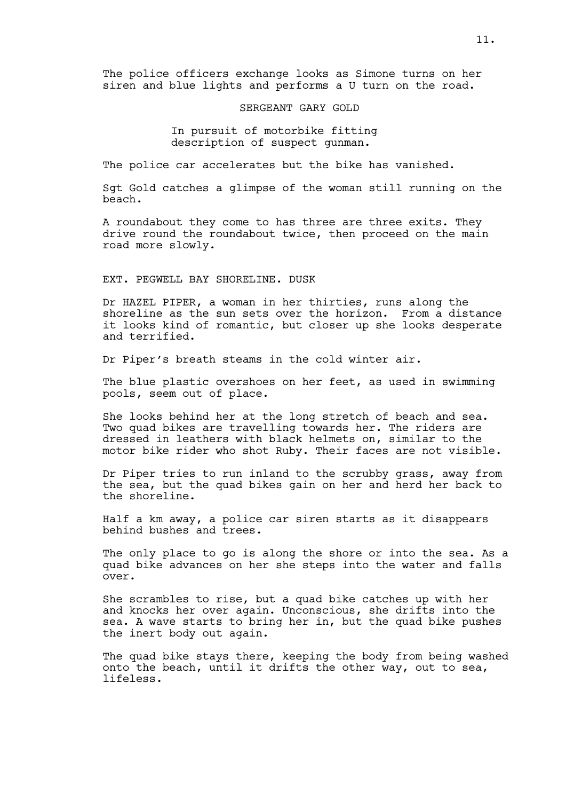The police officers exchange looks as Simone turns on her siren and blue lights and performs a U turn on the road.

SERGEANT GARY GOLD

In pursuit of motorbike fitting description of suspect gunman.

The police car accelerates but the bike has vanished.

Sgt Gold catches a glimpse of the woman still running on the beach.

A roundabout they come to has three are three exits. They drive round the roundabout twice, then proceed on the main road more slowly.

#### EXT. PEGWELL BAY SHORELINE. DUSK

Dr HAZEL PIPER, a woman in her thirties, runs along the shoreline as the sun sets over the horizon. From a distance it looks kind of romantic, but closer up she looks desperate and terrified.

Dr Piper's breath steams in the cold winter air.

The blue plastic overshoes on her feet, as used in swimming pools, seem out of place.

She looks behind her at the long stretch of beach and sea. Two quad bikes are travelling towards her. The riders are dressed in leathers with black helmets on, similar to the motor bike rider who shot Ruby. Their faces are not visible.

Dr Piper tries to run inland to the scrubby grass, away from the sea, but the quad bikes gain on her and herd her back to the shoreline.

Half a km away, a police car siren starts as it disappears behind bushes and trees.

The only place to go is along the shore or into the sea. As a quad bike advances on her she steps into the water and falls over.

She scrambles to rise, but a quad bike catches up with her and knocks her over again. Unconscious, she drifts into the sea. A wave starts to bring her in, but the quad bike pushes the inert body out again.

The quad bike stays there, keeping the body from being washed onto the beach, until it drifts the other way, out to sea, lifeless.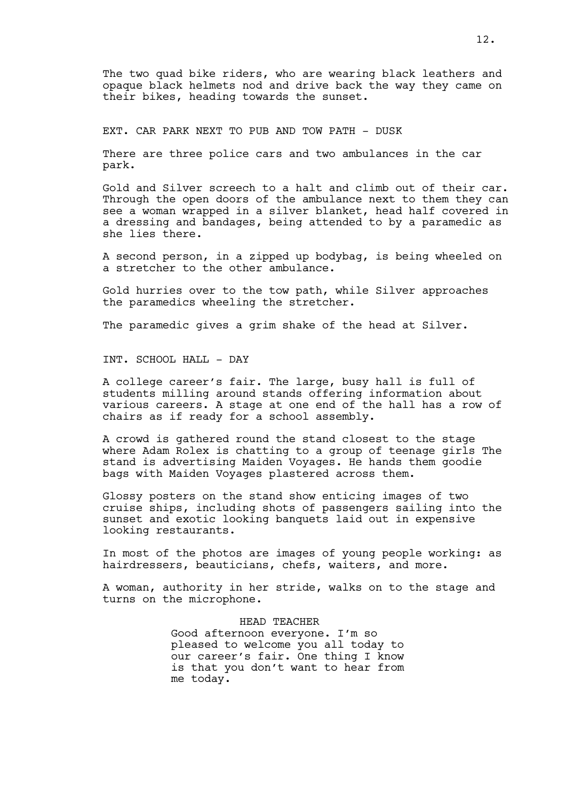The two quad bike riders, who are wearing black leathers and opaque black helmets nod and drive back the way they came on their bikes, heading towards the sunset.

EXT. CAR PARK NEXT TO PUB AND TOW PATH - DUSK

There are three police cars and two ambulances in the car park.

Gold and Silver screech to a halt and climb out of their car. Through the open doors of the ambulance next to them they can see a woman wrapped in a silver blanket, head half covered in a dressing and bandages, being attended to by a paramedic as she lies there.

A second person, in a zipped up bodybag, is being wheeled on a stretcher to the other ambulance.

Gold hurries over to the tow path, while Silver approaches the paramedics wheeling the stretcher.

The paramedic gives a grim shake of the head at Silver.

INT. SCHOOL HALL - DAY

A college career's fair. The large, busy hall is full of students milling around stands offering information about various careers. A stage at one end of the hall has a row of chairs as if ready for a school assembly.

A crowd is gathered round the stand closest to the stage where Adam Rolex is chatting to a group of teenage girls The stand is advertising Maiden Voyages. He hands them goodie bags with Maiden Voyages plastered across them.

Glossy posters on the stand show enticing images of two cruise ships, including shots of passengers sailing into the sunset and exotic looking banquets laid out in expensive looking restaurants.

In most of the photos are images of young people working: as hairdressers, beauticians, chefs, waiters, and more.

A woman, authority in her stride, walks on to the stage and turns on the microphone.

> HEAD TEACHER Good afternoon everyone. I'm so pleased to welcome you all today to our career's fair. One thing I know is that you don't want to hear from me today.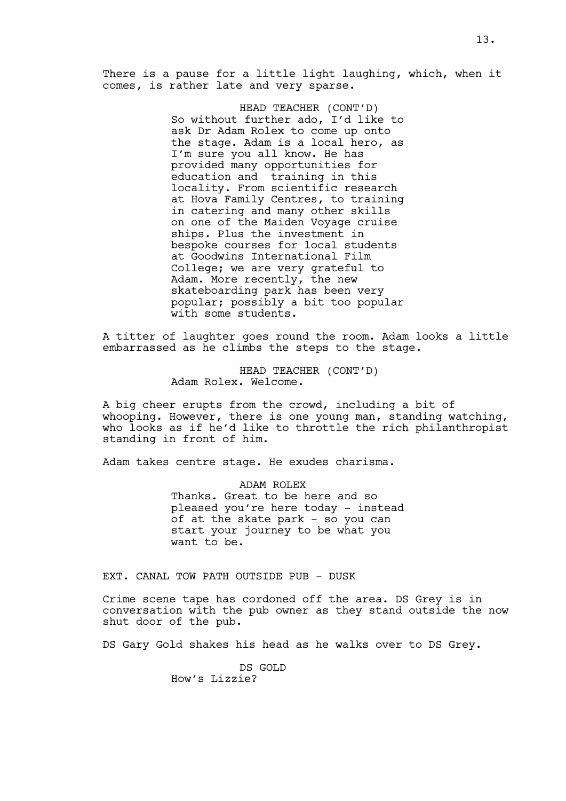There is a pause for a little light laughing, which, when it comes, is rather late and very sparse.

> HEAD TEACHER (CONT'D) So without further ado, I'd like to ask Dr Adam Rolex to come up onto the stage. Adam is a local hero, as I'm sure you all know. He has provided many opportunities for education and training in this locality. From scientific research at Hova Family Centres, to training in catering and many other skills on one of the Maiden Voyage cruise ships. Plus the investment in bespoke courses for local students at Goodwins International Film College; we are very grateful to Adam. More recently, the new skateboarding park has been very popular; possibly a bit too popular with some students.

A titter of laughter goes round the room. Adam looks a little embarrassed as he climbs the steps to the stage.

> HEAD TEACHER (CONT'D) Adam Rolex. Welcome.

A big cheer erupts from the crowd, including a bit of whooping. However, there is one young man, standing watching, who looks as if he'd like to throttle the rich philanthropist standing in front of him.

Adam takes centre stage. He exudes charisma.

ADAM ROLEX Thanks. Great to be here and so pleased you're here today - instead of at the skate park - so you can start your journey to be what you want to be.

EXT. CANAL TOW PATH OUTSIDE PUB - DUSK

Crime scene tape has cordoned off the area. DS Grey is in conversation with the pub owner as they stand outside the now shut door of the pub.

DS Gary Gold shakes his head as he walks over to DS Grey.

DS GOLD How's Lizzie?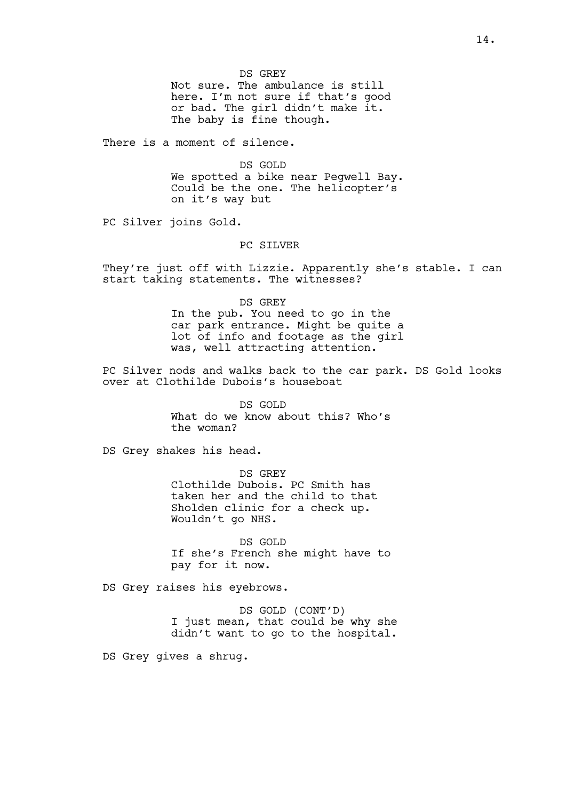DS GREY Not sure. The ambulance is still here. I'm not sure if that's good or bad. The girl didn't make it. The baby is fine though.

There is a moment of silence.

DS GOLD We spotted a bike near Pegwell Bay. Could be the one. The helicopter's on it's way but

PC Silver joins Gold.

# PC SILVER

They're just off with Lizzie. Apparently she's stable. I can start taking statements. The witnesses?

> DS GREY In the pub. You need to go in the car park entrance. Might be quite a lot of info and footage as the girl was, well attracting attention.

PC Silver nods and walks back to the car park. DS Gold looks over at Clothilde Dubois's houseboat

> DS GOLD What do we know about this? Who's the woman?

DS Grey shakes his head.

DS GREY Clothilde Dubois. PC Smith has taken her and the child to that Sholden clinic for a check up. Wouldn't go NHS.

DS GOLD If she's French she might have to pay for it now.

DS Grey raises his eyebrows.

DS GOLD (CONT'D) I just mean, that could be why she didn't want to go to the hospital.

DS Grey gives a shrug.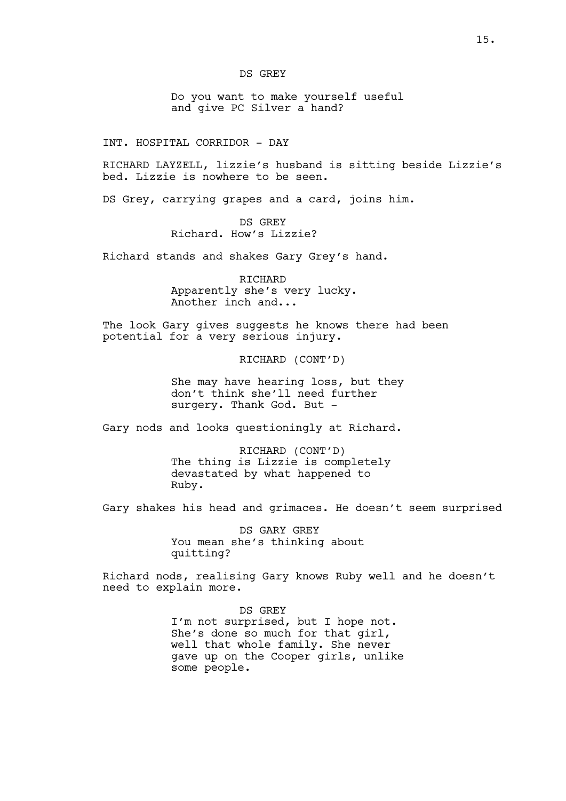### DS GREY

Do you want to make yourself useful and give PC Silver a hand?

INT. HOSPITAL CORRIDOR - DAY

RICHARD LAYZELL, lizzie's husband is sitting beside Lizzie's bed. Lizzie is nowhere to be seen.

DS Grey, carrying grapes and a card, joins him.

DS GREY Richard. How's Lizzie?

Richard stands and shakes Gary Grey's hand.

RICHARD Apparently she's very lucky. Another inch and...

The look Gary gives suggests he knows there had been potential for a very serious injury.

RICHARD (CONT'D)

She may have hearing loss, but they don't think she'll need further surgery. Thank God. But -

Gary nods and looks questioningly at Richard.

RICHARD (CONT'D) The thing is Lizzie is completely devastated by what happened to Ruby.

Gary shakes his head and grimaces. He doesn't seem surprised

DS GARY GREY You mean she's thinking about quitting?

Richard nods, realising Gary knows Ruby well and he doesn't need to explain more.

> DS GREY I'm not surprised, but I hope not. She's done so much for that girl, well that whole family. She never gave up on the Cooper girls, unlike some people.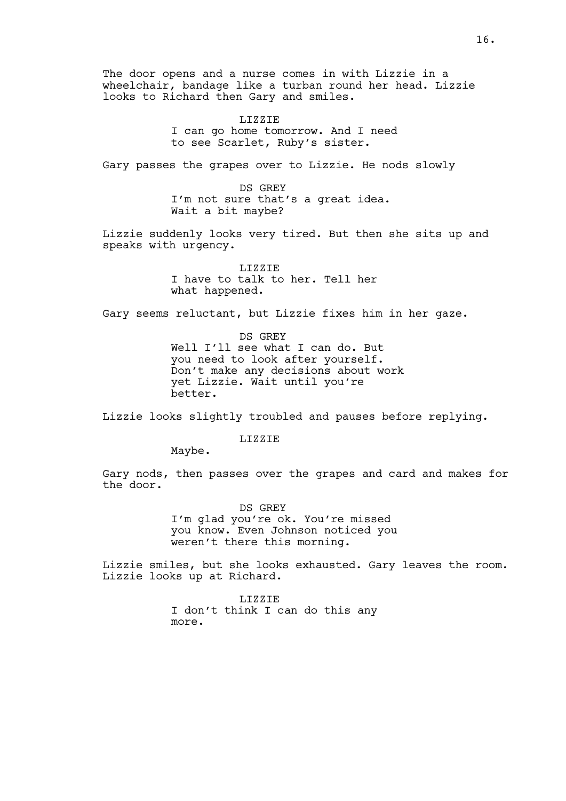The door opens and a nurse comes in with Lizzie in a wheelchair, bandage like a turban round her head. Lizzie looks to Richard then Gary and smiles.

> LIZZIE I can go home tomorrow. And I need to see Scarlet, Ruby's sister.

Gary passes the grapes over to Lizzie. He nods slowly

DS GREY I'm not sure that's a great idea. Wait a bit maybe?

Lizzie suddenly looks very tired. But then she sits up and speaks with urgency.

> LIZZIE I have to talk to her. Tell her what happened.

Gary seems reluctant, but Lizzie fixes him in her gaze.

DS GREY Well I'll see what I can do. But you need to look after yourself. Don't make any decisions about work yet Lizzie. Wait until you're better.

Lizzie looks slightly troubled and pauses before replying.

LIZZIE

Maybe.

Gary nods, then passes over the grapes and card and makes for the door.

> DS GREY I'm glad you're ok. You're missed you know. Even Johnson noticed you weren't there this morning.

Lizzie smiles, but she looks exhausted. Gary leaves the room. Lizzie looks up at Richard.

> LIZZIE I don't think I can do this any more.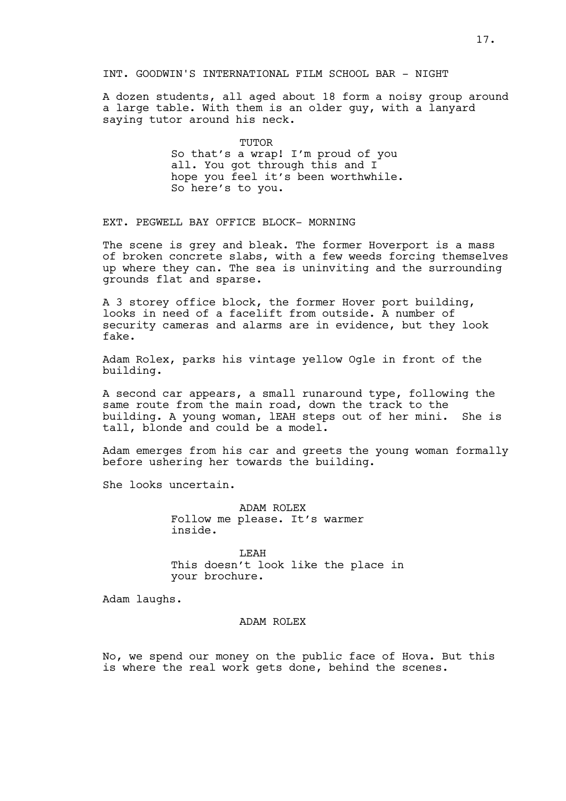# INT. GOODWIN'S INTERNATIONAL FILM SCHOOL BAR - NIGHT

A dozen students, all aged about 18 form a noisy group around a large table. With them is an older guy, with a lanyard saying tutor around his neck.

> **TUTOR** So that's a wrap! I'm proud of you all. You got through this and I hope you feel it's been worthwhile. So here's to you.

EXT. PEGWELL BAY OFFICE BLOCK- MORNING

The scene is grey and bleak. The former Hoverport is a mass of broken concrete slabs, with a few weeds forcing themselves up where they can. The sea is uninviting and the surrounding grounds flat and sparse.

A 3 storey office block, the former Hover port building, looks in need of a facelift from outside. A number of security cameras and alarms are in evidence, but they look fake.

Adam Rolex, parks his vintage yellow Ogle in front of the building.

A second car appears, a small runaround type, following the same route from the main road, down the track to the building. A young woman, lEAH steps out of her mini. She is tall, blonde and could be a model.

Adam emerges from his car and greets the young woman formally before ushering her towards the building.

She looks uncertain.

ADAM ROLEX Follow me please. It's warmer inside.

LEAH This doesn't look like the place in your brochure.

Adam laughs.

#### ADAM ROLEX

No, we spend our money on the public face of Hova. But this is where the real work gets done, behind the scenes.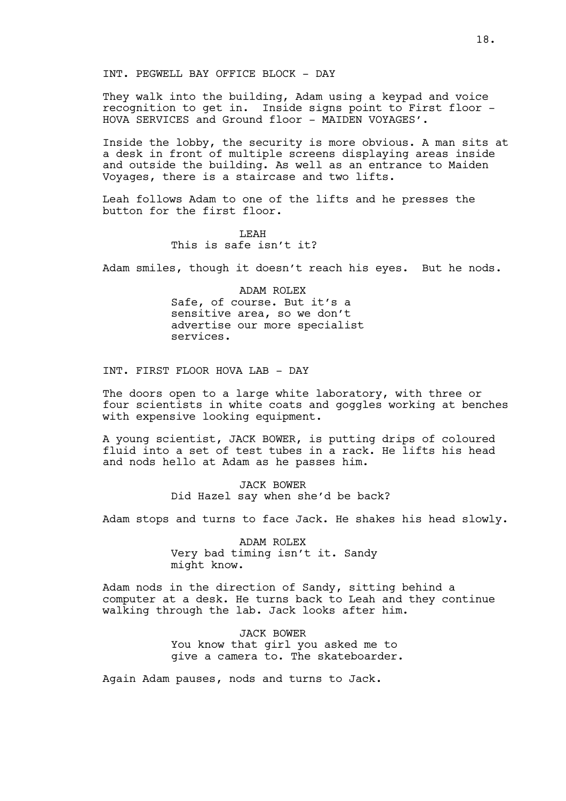They walk into the building, Adam using a keypad and voice recognition to get in. Inside signs point to First floor - HOVA SERVICES and Ground floor - MAIDEN VOYAGES'.

Inside the lobby, the security is more obvious. A man sits at a desk in front of multiple screens displaying areas inside and outside the building. As well as an entrance to Maiden Voyages, there is a staircase and two lifts.

Leah follows Adam to one of the lifts and he presses the button for the first floor.

# LEAH This is safe isn't it?

Adam smiles, though it doesn't reach his eyes. But he nods.

ADAM ROLEX Safe, of course. But it's a sensitive area, so we don't advertise our more specialist services.

INT. FIRST FLOOR HOVA LAB - DAY

The doors open to a large white laboratory, with three or four scientists in white coats and goggles working at benches with expensive looking equipment.

A young scientist, JACK BOWER, is putting drips of coloured fluid into a set of test tubes in a rack. He lifts his head and nods hello at Adam as he passes him.

> JACK BOWER Did Hazel say when she'd be back?

Adam stops and turns to face Jack. He shakes his head slowly.

ADAM ROLEX Very bad timing isn't it. Sandy might know.

Adam nods in the direction of Sandy, sitting behind a computer at a desk. He turns back to Leah and they continue walking through the lab. Jack looks after him.

> JACK BOWER You know that girl you asked me to give a camera to. The skateboarder.

Again Adam pauses, nods and turns to Jack.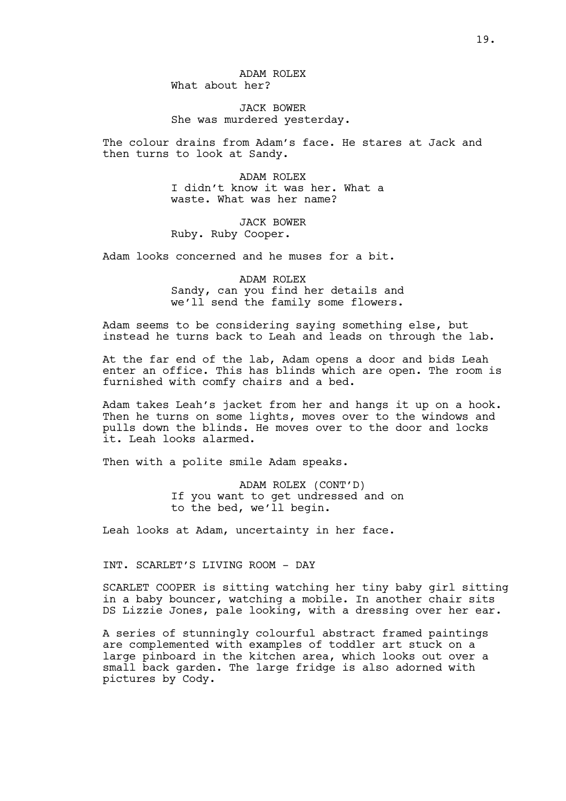ADAM ROLEX What about her?

JACK BOWER She was murdered yesterday.

The colour drains from Adam's face. He stares at Jack and then turns to look at Sandy.

> ADAM ROLEX I didn't know it was her. What a waste. What was her name?

JACK BOWER Ruby. Ruby Cooper.

Adam looks concerned and he muses for a bit.

ADAM ROLEX Sandy, can you find her details and we'll send the family some flowers.

Adam seems to be considering saying something else, but instead he turns back to Leah and leads on through the lab.

At the far end of the lab, Adam opens a door and bids Leah enter an office. This has blinds which are open. The room is furnished with comfy chairs and a bed.

Adam takes Leah's jacket from her and hangs it up on a hook. Then he turns on some lights, moves over to the windows and pulls down the blinds. He moves over to the door and locks it. Leah looks alarmed.

Then with a polite smile Adam speaks.

ADAM ROLEX (CONT'D) If you want to get undressed and on to the bed, we'll begin.

Leah looks at Adam, uncertainty in her face.

INT. SCARLET'S LIVING ROOM - DAY

SCARLET COOPER is sitting watching her tiny baby girl sitting in a baby bouncer, watching a mobile. In another chair sits DS Lizzie Jones, pale looking, with a dressing over her ear.

A series of stunningly colourful abstract framed paintings are complemented with examples of toddler art stuck on a large pinboard in the kitchen area, which looks out over a small back garden. The large fridge is also adorned with pictures by Cody.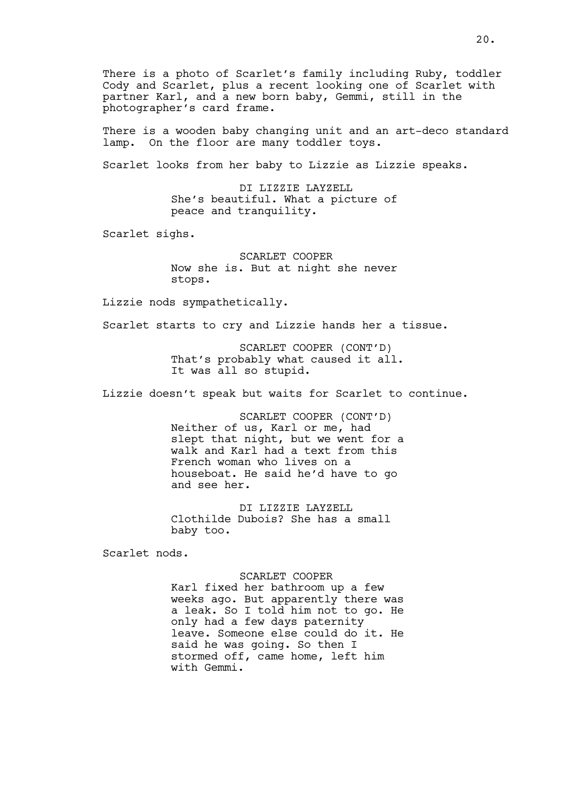There is a photo of Scarlet's family including Ruby, toddler Cody and Scarlet, plus a recent looking one of Scarlet with partner Karl, and a new born baby, Gemmi, still in the photographer's card frame.

There is a wooden baby changing unit and an art-deco standard lamp. On the floor are many toddler toys.

Scarlet looks from her baby to Lizzie as Lizzie speaks.

DI LIZZIE LAYZELL She's beautiful. What a picture of peace and tranquility.

Scarlet sighs.

SCARLET COOPER Now she is. But at night she never stops.

Lizzie nods sympathetically.

Scarlet starts to cry and Lizzie hands her a tissue.

SCARLET COOPER (CONT'D) That's probably what caused it all. It was all so stupid.

Lizzie doesn't speak but waits for Scarlet to continue.

SCARLET COOPER (CONT'D) Neither of us, Karl or me, had slept that night, but we went for a walk and Karl had a text from this French woman who lives on a houseboat. He said he'd have to go and see her.

DI LIZZIE LAYZELL Clothilde Dubois? She has a small baby too.

Scarlet nods.

#### SCARLET COOPER

Karl fixed her bathroom up a few weeks ago. But apparently there was a leak. So I told him not to go. He only had a few days paternity leave. Someone else could do it. He said he was going. So then I stormed off, came home, left him with Gemmi.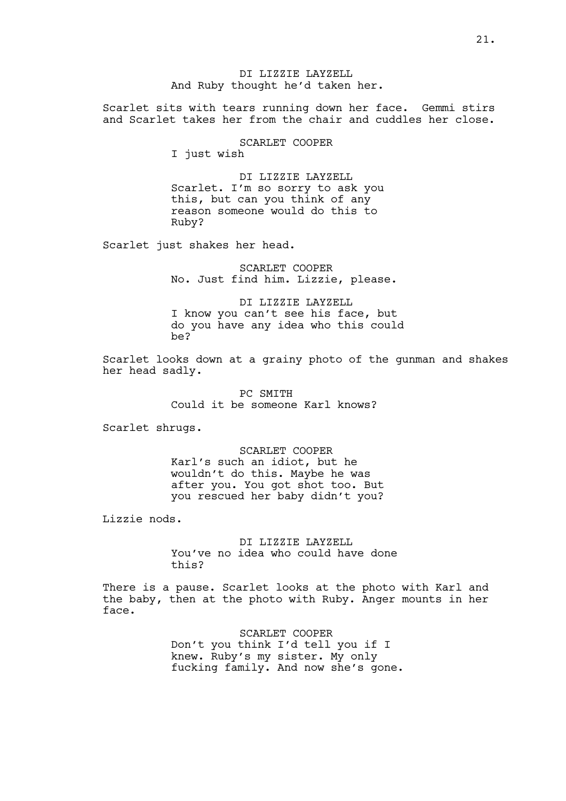DI LIZZIE LAYZELL And Ruby thought he'd taken her.

Scarlet sits with tears running down her face. Gemmi stirs and Scarlet takes her from the chair and cuddles her close.

SCARLET COOPER

I just wish

DI LIZZIE LAYZELL Scarlet. I'm so sorry to ask you this, but can you think of any reason someone would do this to Ruby?

Scarlet just shakes her head.

SCARLET COOPER No. Just find him. Lizzie, please.

DI LIZZIE LAYZELL I know you can't see his face, but do you have any idea who this could be?

Scarlet looks down at a grainy photo of the gunman and shakes her head sadly.

> PC SMITH Could it be someone Karl knows?

Scarlet shrugs.

SCARLET COOPER Karl's such an idiot, but he wouldn't do this. Maybe he was after you. You got shot too. But you rescued her baby didn't you?

Lizzie nods.

DI LIZZIE LAYZELL You've no idea who could have done this?

There is a pause. Scarlet looks at the photo with Karl and the baby, then at the photo with Ruby. Anger mounts in her face.

> SCARLET COOPER Don't you think I'd tell you if I knew. Ruby's my sister. My only fucking family. And now she's gone.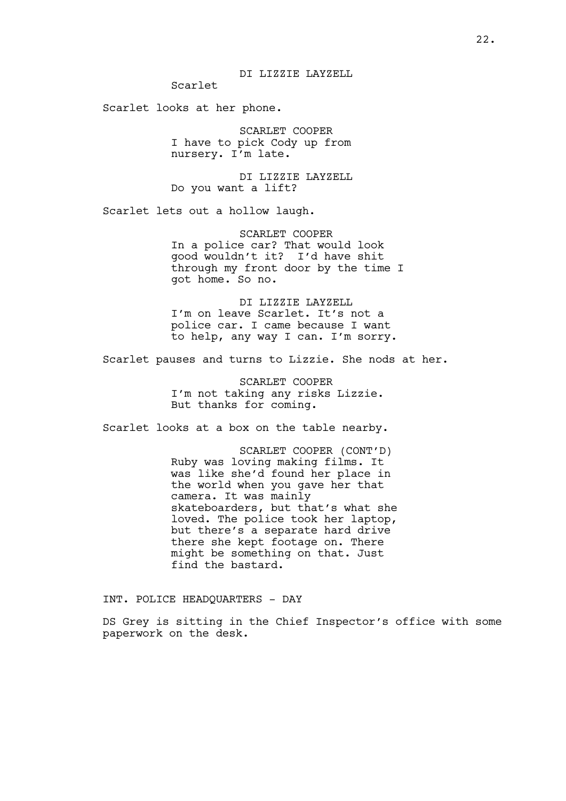Scarlet

Scarlet looks at her phone.

SCARLET COOPER I have to pick Cody up from nursery. I'm late.

DI LIZZIE LAYZELL Do you want a lift?

Scarlet lets out a hollow laugh.

SCARLET COOPER In a police car? That would look good wouldn't it? I'd have shit through my front door by the time I got home. So no.

DI LIZZIE LAYZELL I'm on leave Scarlet. It's not a police car. I came because I want to help, any way I can. I'm sorry.

Scarlet pauses and turns to Lizzie. She nods at her.

SCARLET COOPER I'm not taking any risks Lizzie. But thanks for coming.

Scarlet looks at a box on the table nearby.

SCARLET COOPER (CONT'D) Ruby was loving making films. It was like she'd found her place in the world when you gave her that camera. It was mainly skateboarders, but that's what she loved. The police took her laptop, but there's a separate hard drive there she kept footage on. There might be something on that. Just find the bastard.

INT. POLICE HEADQUARTERS - DAY

DS Grey is sitting in the Chief Inspector's office with some paperwork on the desk.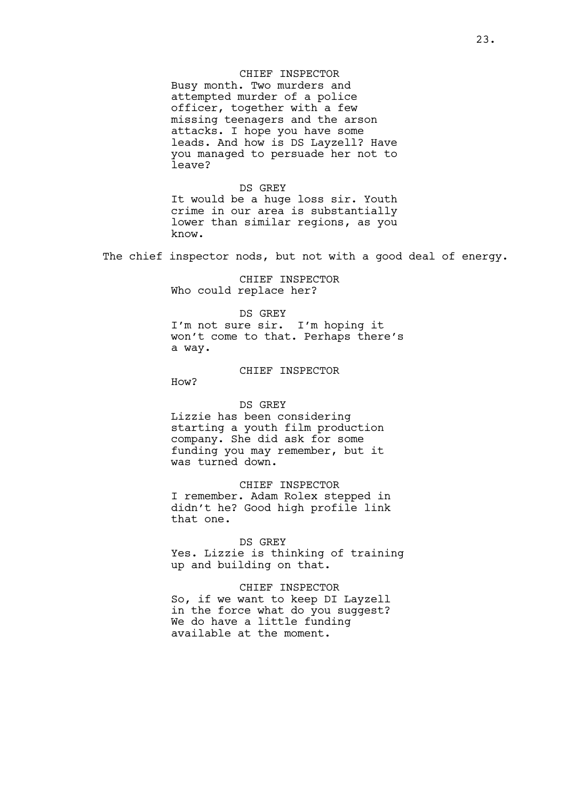# CHIEF INSPECTOR

Busy month. Two murders and attempted murder of a police officer, together with a few missing teenagers and the arson attacks. I hope you have some leads. And how is DS Layzell? Have you managed to persuade her not to leave?

DS GREY It would be a huge loss sir. Youth crime in our area is substantially lower than similar regions, as you know.

The chief inspector nods, but not with a good deal of energy.

CHIEF INSPECTOR Who could replace her?

DS GREY I'm not sure sir. I'm hoping it won't come to that. Perhaps there's a way.

### CHIEF INSPECTOR

How?

#### DS GREY

Lizzie has been considering starting a youth film production company. She did ask for some funding you may remember, but it was turned down.

CHIEF INSPECTOR I remember. Adam Rolex stepped in didn't he? Good high profile link that one.

DS GREY Yes. Lizzie is thinking of training up and building on that.

CHIEF INSPECTOR So, if we want to keep DI Layzell in the force what do you suggest? We do have a little funding available at the moment.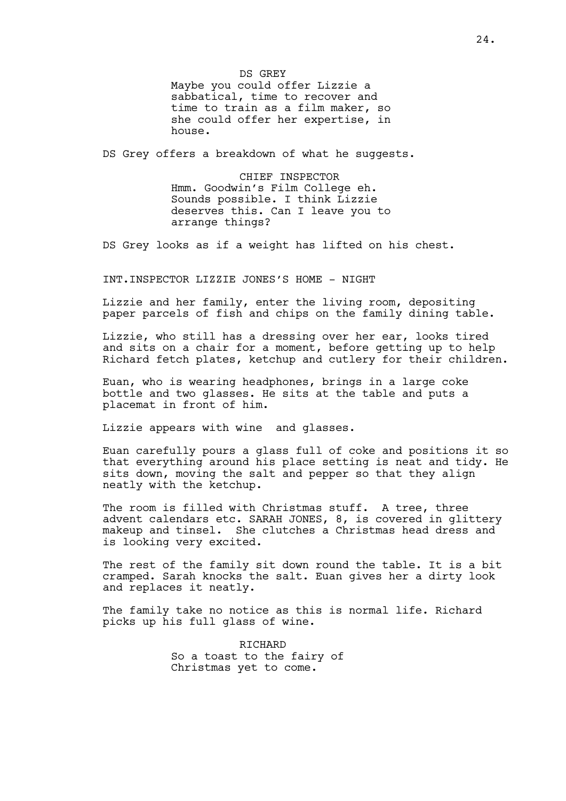DS GREY Maybe you could offer Lizzie a sabbatical, time to recover and time to train as a film maker, so she could offer her expertise, in house.

DS Grey offers a breakdown of what he suggests.

CHIEF INSPECTOR Hmm. Goodwin's Film College eh. Sounds possible. I think Lizzie deserves this. Can I leave you to arrange things?

DS Grey looks as if a weight has lifted on his chest.

INT.INSPECTOR LIZZIE JONES'S HOME - NIGHT

Lizzie and her family, enter the living room, depositing paper parcels of fish and chips on the family dining table.

Lizzie, who still has a dressing over her ear, looks tired and sits on a chair for a moment, before getting up to help Richard fetch plates, ketchup and cutlery for their children.

Euan, who is wearing headphones, brings in a large coke bottle and two glasses. He sits at the table and puts a placemat in front of him.

Lizzie appears with wine and glasses.

Euan carefully pours a glass full of coke and positions it so that everything around his place setting is neat and tidy. He sits down, moving the salt and pepper so that they align neatly with the ketchup.

The room is filled with Christmas stuff. A tree, three advent calendars etc. SARAH JONES, 8, is covered in glittery makeup and tinsel. She clutches a Christmas head dress and is looking very excited.

The rest of the family sit down round the table. It is a bit cramped. Sarah knocks the salt. Euan gives her a dirty look and replaces it neatly.

The family take no notice as this is normal life. Richard picks up his full glass of wine.

> RICHARD So a toast to the fairy of Christmas yet to come.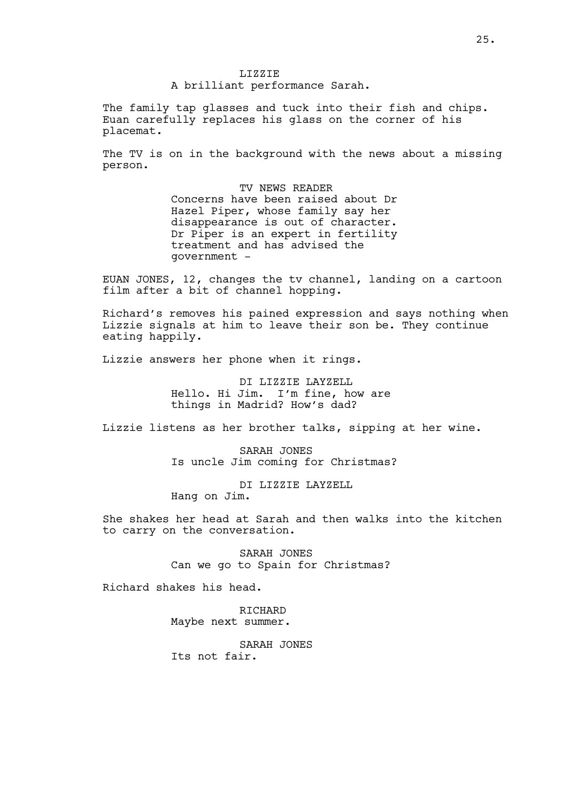LIZZIE A brilliant performance Sarah.

The family tap glasses and tuck into their fish and chips. Euan carefully replaces his glass on the corner of his placemat.

The TV is on in the background with the news about a missing person.

> TV NEWS READER Concerns have been raised about Dr Hazel Piper, whose family say her disappearance is out of character. Dr Piper is an expert in fertility treatment and has advised the government -

EUAN JONES, 12, changes the tv channel, landing on a cartoon film after a bit of channel hopping.

Richard's removes his pained expression and says nothing when Lizzie signals at him to leave their son be. They continue eating happily.

Lizzie answers her phone when it rings.

DI LIZZIE LAYZELL Hello. Hi Jim. I'm fine, how are things in Madrid? How's dad?

Lizzie listens as her brother talks, sipping at her wine.

SARAH JONES Is uncle Jim coming for Christmas?

DI LIZZIE LAYZELL

Hang on Jim.

She shakes her head at Sarah and then walks into the kitchen to carry on the conversation.

> SARAH JONES Can we go to Spain for Christmas?

Richard shakes his head.

RICHARD Maybe next summer.

SARAH JONES Its not fair.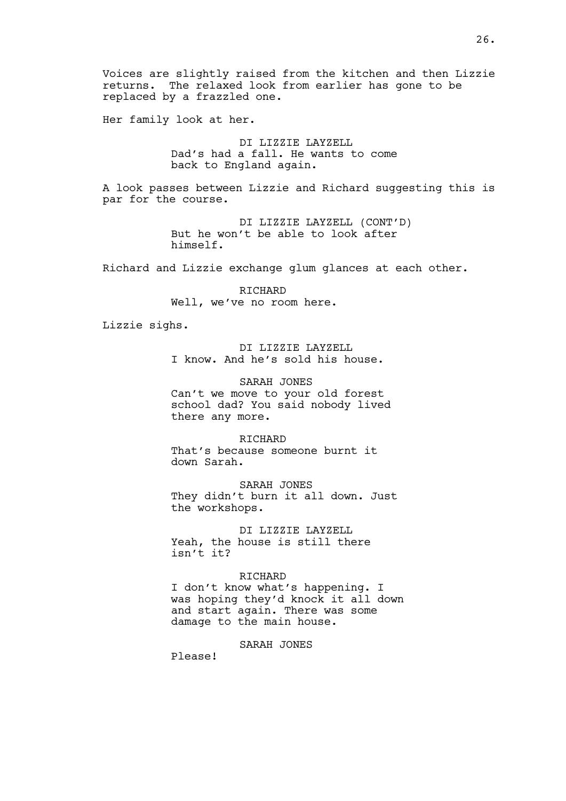Voices are slightly raised from the kitchen and then Lizzie returns. The relaxed look from earlier has gone to be replaced by a frazzled one.

Her family look at her.

DI LIZZIE LAYZELL Dad's had a fall. He wants to come back to England again.

A look passes between Lizzie and Richard suggesting this is par for the course.

> DI LIZZIE LAYZELL (CONT'D) But he won't be able to look after himself.

Richard and Lizzie exchange glum glances at each other.

RICHARD Well, we've no room here.

Lizzie sighs.

DI LIZZIE LAYZELL I know. And he's sold his house.

SARAH JONES Can't we move to your old forest school dad? You said nobody lived there any more.

RICHARD That's because someone burnt it down Sarah.

SARAH JONES They didn't burn it all down. Just the workshops.

DI LIZZIE LAYZELL Yeah, the house is still there isn't it?

#### RICHARD

I don't know what's happening. I was hoping they'd knock it all down and start again. There was some damage to the main house.

SARAH JONES

Please!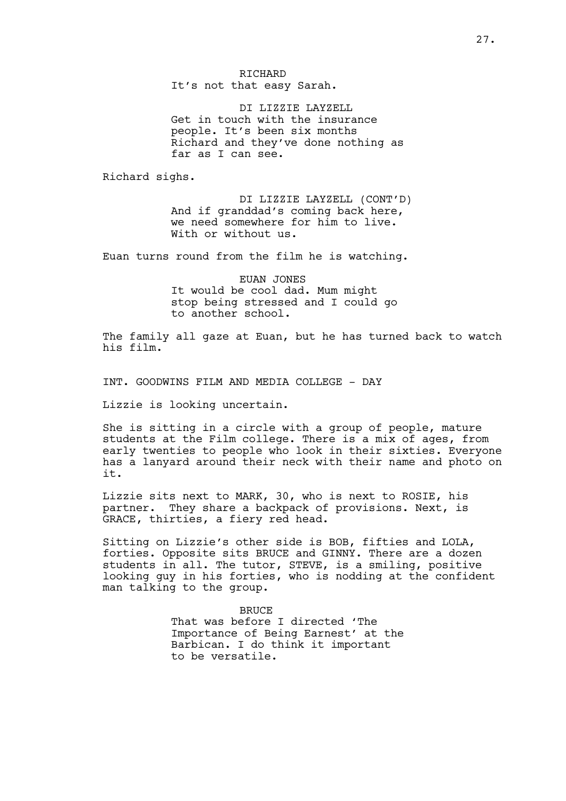RICHARD It's not that easy Sarah.

DI LIZZIE LAYZELL Get in touch with the insurance people. It's been six months Richard and they've done nothing as far as I can see.

Richard sighs.

DI LIZZIE LAYZELL (CONT'D) And if granddad's coming back here, we need somewhere for him to live. With or without us.

Euan turns round from the film he is watching.

EUAN JONES It would be cool dad. Mum might stop being stressed and I could go to another school.

The family all gaze at Euan, but he has turned back to watch his film.

INT. GOODWINS FILM AND MEDIA COLLEGE - DAY

Lizzie is looking uncertain.

She is sitting in a circle with a group of people, mature students at the Film college. There is a mix of ages, from early twenties to people who look in their sixties. Everyone has a lanyard around their neck with their name and photo on it.

Lizzie sits next to MARK, 30, who is next to ROSIE, his partner. They share a backpack of provisions. Next, is GRACE, thirties, a fiery red head.

Sitting on Lizzie's other side is BOB, fifties and LOLA, forties. Opposite sits BRUCE and GINNY. There are a dozen students in all. The tutor, STEVE, is a smiling, positive looking guy in his forties, who is nodding at the confident man talking to the group.

> BRUCE That was before I directed 'The Importance of Being Earnest' at the Barbican. I do think it important to be versatile.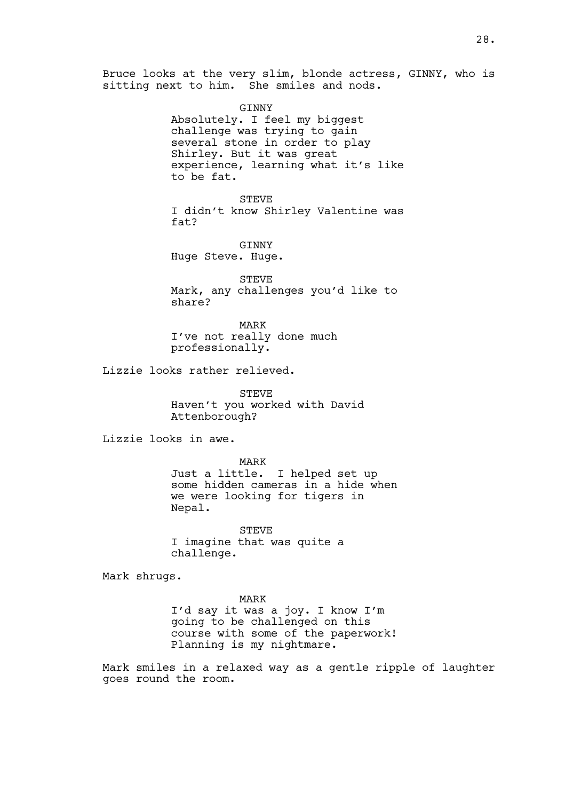Bruce looks at the very slim, blonde actress, GINNY, who is sitting next to him. She smiles and nods.

> GINNY Absolutely. I feel my biggest challenge was trying to gain several stone in order to play Shirley. But it was great experience, learning what it's like to be fat.

> STEVE I didn't know Shirley Valentine was fat?

GINNY Huge Steve. Huge.

STEVE Mark, any challenges you'd like to share?

MARK I've not really done much professionally.

Lizzie looks rather relieved.

STEVE Haven't you worked with David Attenborough?

Lizzie looks in awe.

MARK Just a little. I helped set up some hidden cameras in a hide when we were looking for tigers in Nepal.

STEVE I imagine that was quite a challenge.

Mark shrugs.

MARK I'd say it was a joy. I know I'm going to be challenged on this course with some of the paperwork! Planning is my nightmare.

Mark smiles in a relaxed way as a gentle ripple of laughter goes round the room.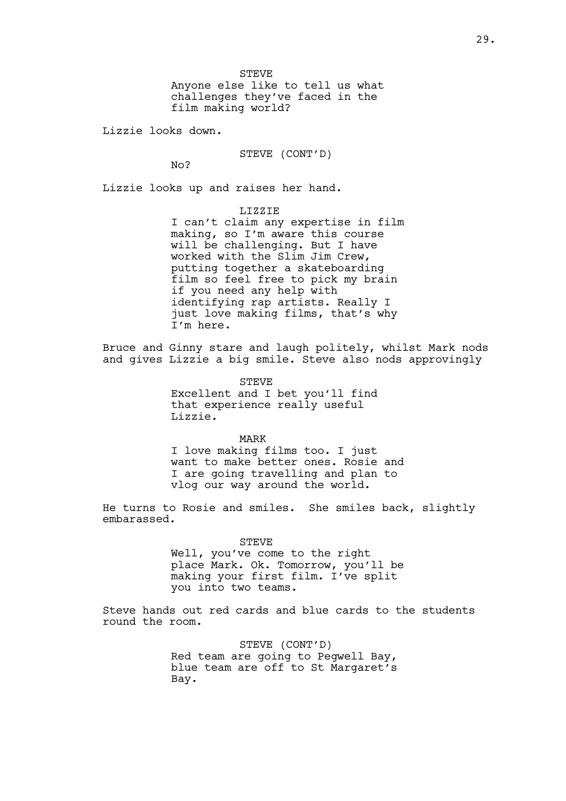STEVE Anyone else like to tell us what challenges they've faced in the film making world?

Lizzie looks down.

STEVE (CONT'D)

 $N<sub>O</sub>$ 

Lizzie looks up and raises her hand.

LIZZIE I can't claim any expertise in film making, so I'm aware this course will be challenging. But I have worked with the Slim Jim Crew, putting together a skateboarding film so feel free to pick my brain if you need any help with identifying rap artists. Really I just love making films, that's why I'm here.

Bruce and Ginny stare and laugh politely, whilst Mark nods and gives Lizzie a big smile. Steve also nods approvingly

> STEVE Excellent and I bet you'll find that experience really useful Lizzie.

MARK I love making films too. I just want to make better ones. Rosie and I are going travelling and plan to vlog our way around the world.

He turns to Rosie and smiles. She smiles back, slightly embarassed.

STEVE

Well, you've come to the right place Mark. Ok. Tomorrow, you'll be making your first film. I've split you into two teams.

Steve hands out red cards and blue cards to the students round the room.

> STEVE (CONT'D) Red team are going to Pegwell Bay, blue team are off to St Margaret's Bay.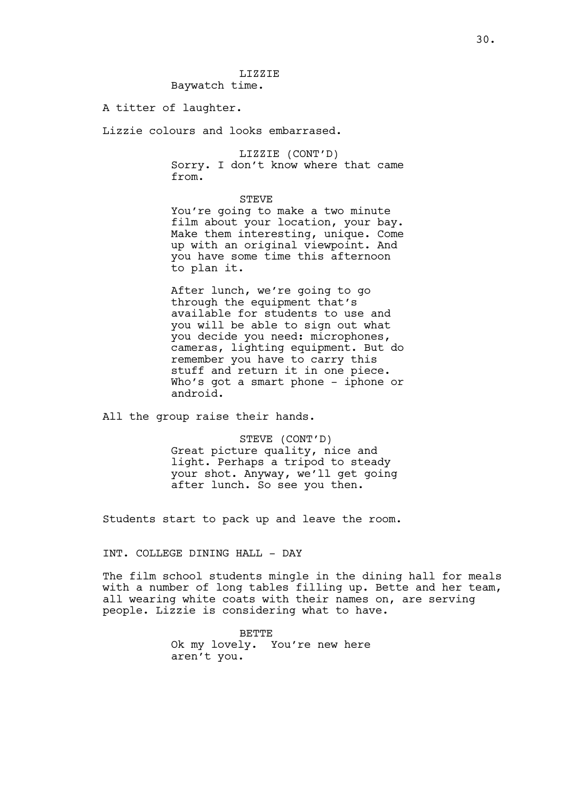### LIZZIE Baywatch time.

### A titter of laughter.

Lizzie colours and looks embarrased.

LIZZIE (CONT'D) Sorry. I don't know where that came from.

STEVE

You're going to make a two minute film about your location, your bay. Make them interesting, unique. Come up with an original viewpoint. And you have some time this afternoon to plan it.

After lunch, we're going to go through the equipment that's available for students to use and you will be able to sign out what you decide you need: microphones, cameras, lighting equipment. But do remember you have to carry this stuff and return it in one piece. Who's got a smart phone - iphone or android.

All the group raise their hands.

STEVE (CONT'D) Great picture quality, nice and light. Perhaps a tripod to steady your shot. Anyway, we'll get going after lunch. So see you then.

Students start to pack up and leave the room.

INT. COLLEGE DINING HALL - DAY

The film school students mingle in the dining hall for meals with a number of long tables filling up. Bette and her team, all wearing white coats with their names on, are serving people. Lizzie is considering what to have.

> **BETTE** Ok my lovely. You're new here aren't you.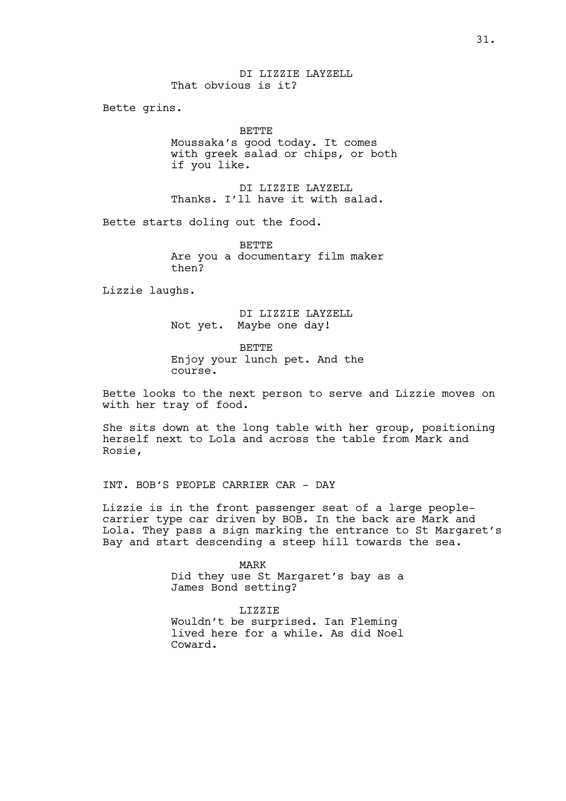DI LIZZIE LAYZELL That obvious is it?

Bette grins.

BETTE Moussaka's good today. It comes with greek salad or chips, or both if you like.

DI LIZZIE LAYZELL Thanks. I'll have it with salad.

Bette starts doling out the food.

BETTE Are you a documentary film maker then?

Lizzie laughs.

DI LIZZIE LAYZELL Not yet. Maybe one day!

BETTE Enjoy your lunch pet. And the course.

Bette looks to the next person to serve and Lizzie moves on with her tray of food.

She sits down at the long table with her group, positioning herself next to Lola and across the table from Mark and Rosie,

INT. BOB'S PEOPLE CARRIER CAR - DAY

Lizzie is in the front passenger seat of a large peoplecarrier type car driven by BOB. In the back are Mark and Lola. They pass a sign marking the entrance to St Margaret's Bay and start descending a steep hill towards the sea.

> MARK Did they use St Margaret's bay as a James Bond setting?

> LIZZIE Wouldn't be surprised. Ian Fleming lived here for a while. As did Noel Coward.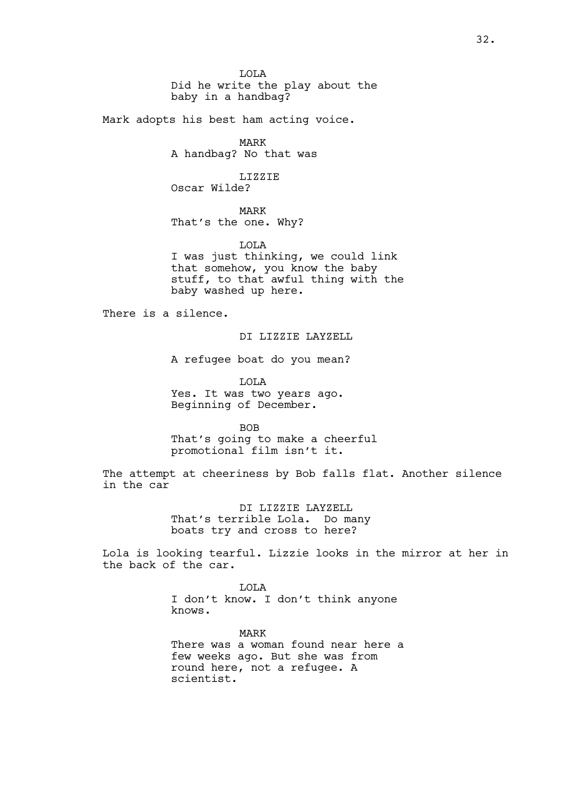LOLA Did he write the play about the baby in a handbag?

Mark adopts his best ham acting voice.

MARK A handbag? No that was

LIZZIE Oscar Wilde?

MARK That's the one. Why?

LOLA

I was just thinking, we could link that somehow, you know the baby stuff, to that awful thing with the baby washed up here.

There is a silence.

DI LIZZIE LAYZELL

A refugee boat do you mean?

LOLA Yes. It was two years ago. Beginning of December.

BOB That's going to make a cheerful promotional film isn't it.

The attempt at cheeriness by Bob falls flat. Another silence in the car

> DI LIZZIE LAYZELL That's terrible Lola. Do many boats try and cross to here?

Lola is looking tearful. Lizzie looks in the mirror at her in the back of the car.

> LOLA I don't know. I don't think anyone knows.

MARK There was a woman found near here a few weeks ago. But she was from round here, not a refugee. A scientist.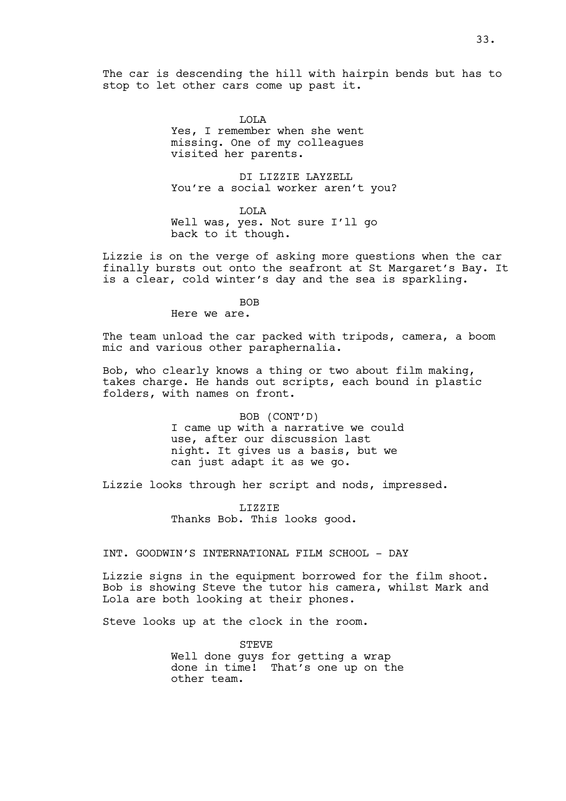The car is descending the hill with hairpin bends but has to stop to let other cars come up past it.

> LOLA Yes, I remember when she went missing. One of my colleagues visited her parents.

DI LIZZIE LAYZELL You're a social worker aren't you?

LOLA Well was, yes. Not sure I'll go back to it though.

Lizzie is on the verge of asking more questions when the car finally bursts out onto the seafront at St Margaret's Bay. It is a clear, cold winter's day and the sea is sparkling.

# **BOB**

Here we are.

The team unload the car packed with tripods, camera, a boom mic and various other paraphernalia.

Bob, who clearly knows a thing or two about film making, takes charge. He hands out scripts, each bound in plastic folders, with names on front.

> BOB (CONT'D) I came up with a narrative we could use, after our discussion last night. It gives us a basis, but we can just adapt it as we go.

Lizzie looks through her script and nods, impressed.

LIZZIE Thanks Bob. This looks good.

INT. GOODWIN'S INTERNATIONAL FILM SCHOOL - DAY

Lizzie signs in the equipment borrowed for the film shoot. Bob is showing Steve the tutor his camera, whilst Mark and Lola are both looking at their phones.

Steve looks up at the clock in the room.

STEVE Well done guys for getting a wrap done in time! That's one up on the other team.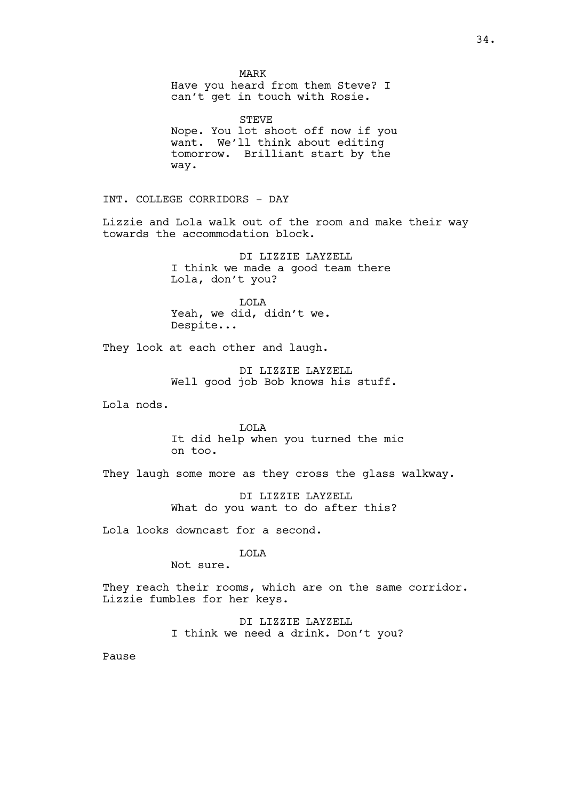MARK Have you heard from them Steve? I can't get in touch with Rosie.

STEVE Nope. You lot shoot off now if you want. We'll think about editing tomorrow. Brilliant start by the way.

INT. COLLEGE CORRIDORS - DAY

Lizzie and Lola walk out of the room and make their way towards the accommodation block.

> DI LIZZIE LAYZELL I think we made a good team there Lola, don't you?

LOLA Yeah, we did, didn't we. Despite...

They look at each other and laugh.

DI LIZZIE LAYZELL Well good job Bob knows his stuff.

Lola nods.

LOLA It did help when you turned the mic on too.

They laugh some more as they cross the glass walkway.

DI LIZZIE LAYZELL What do you want to do after this?

Lola looks downcast for a second.

LOLA

Not sure.

They reach their rooms, which are on the same corridor. Lizzie fumbles for her keys.

> DI LIZZIE LAYZELL I think we need a drink. Don't you?

Pause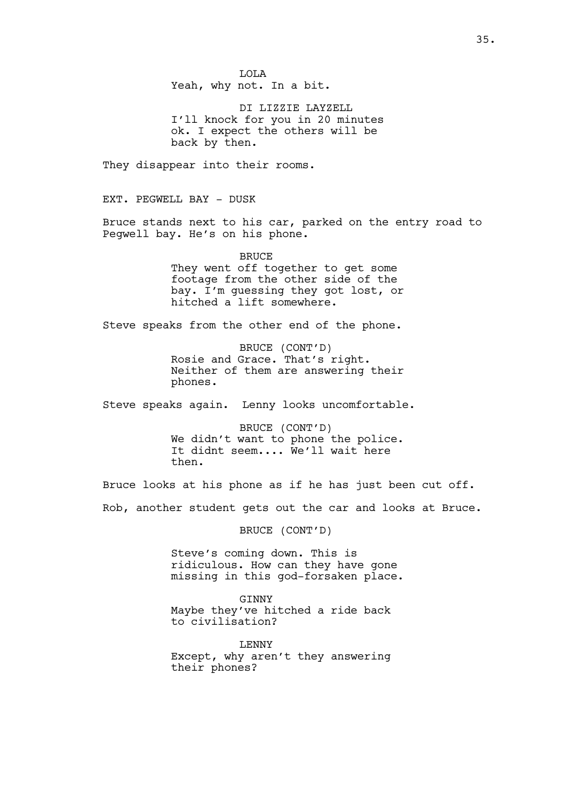LOLA Yeah, why not. In a bit.

DI LIZZIE LAYZELL I'll knock for you in 20 minutes ok. I expect the others will be back by then.

They disappear into their rooms.

EXT. PEGWELL BAY - DUSK

Bruce stands next to his car, parked on the entry road to Pegwell bay. He's on his phone.

> **BRUCE** They went off together to get some footage from the other side of the bay. I'm guessing they got lost, or hitched a lift somewhere.

Steve speaks from the other end of the phone.

BRUCE (CONT'D) Rosie and Grace. That's right. Neither of them are answering their phones.

Steve speaks again. Lenny looks uncomfortable.

BRUCE (CONT'D) We didn't want to phone the police. It didnt seem.... We'll wait here then.

Bruce looks at his phone as if he has just been cut off. Rob, another student gets out the car and looks at Bruce.

BRUCE (CONT'D)

Steve's coming down. This is ridiculous. How can they have gone missing in this god-forsaken place.

GINNY Maybe they've hitched a ride back to civilisation?

LENNY Except, why aren't they answering their phones?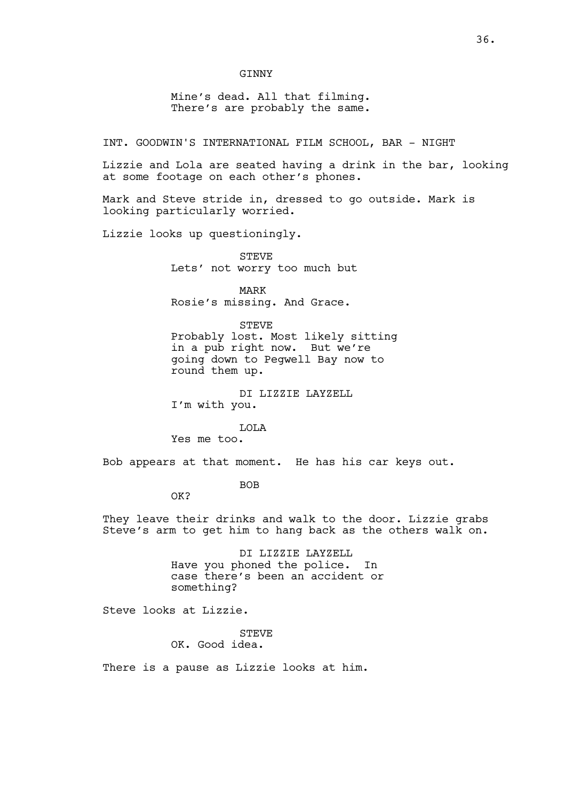Mine's dead. All that filming. There's are probably the same.

INT. GOODWIN'S INTERNATIONAL FILM SCHOOL, BAR - NIGHT

Lizzie and Lola are seated having a drink in the bar, looking at some footage on each other's phones.

Mark and Steve stride in, dressed to go outside. Mark is looking particularly worried.

Lizzie looks up questioningly.

STEVE Lets' not worry too much but

MARK Rosie's missing. And Grace.

STEVE

Probably lost. Most likely sitting in a pub right now. But we're going down to Pegwell Bay now to round them up.

DI LIZZIE LAYZELL I'm with you.

LOLA

Yes me too.

Bob appears at that moment. He has his car keys out.

BOB

OK?

They leave their drinks and walk to the door. Lizzie grabs Steve's arm to get him to hang back as the others walk on.

> DI LIZZIE LAYZELL Have you phoned the police. In case there's been an accident or something?

Steve looks at Lizzie.

**STEVE** OK. Good idea.

There is a pause as Lizzie looks at him.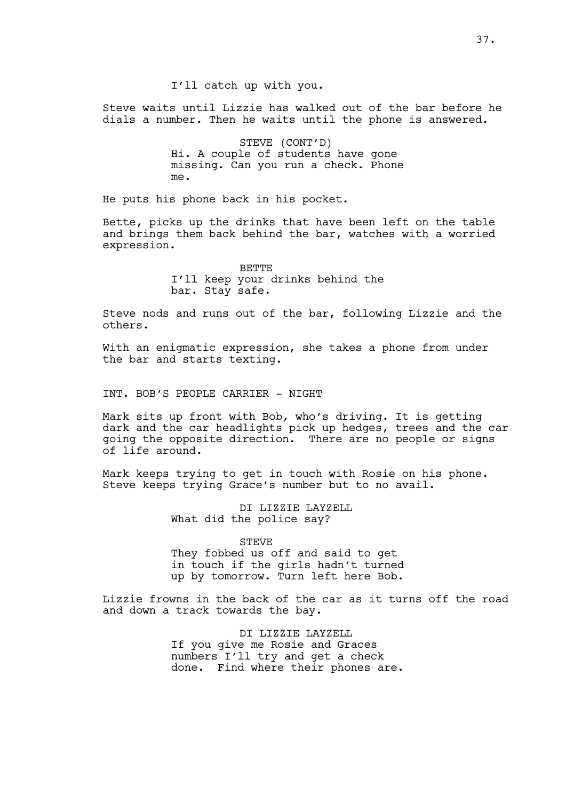Steve waits until Lizzie has walked out of the bar before he dials a number. Then he waits until the phone is answered.

> STEVE (CONT'D) Hi. A couple of students have gone missing. Can you run a check. Phone me.

He puts his phone back in his pocket.

Bette, picks up the drinks that have been left on the table and brings them back behind the bar, watches with a worried expression.

> **BETTE** I'll keep your drinks behind the bar. Stay safe.

Steve nods and runs out of the bar, following Lizzie and the others.

With an enigmatic expression, she takes a phone from under the bar and starts texting.

INT. BOB'S PEOPLE CARRIER - NIGHT

Mark sits up front with Bob, who's driving. It is getting dark and the car headlights pick up hedges, trees and the car going the opposite direction. There are no people or signs of life around.

Mark keeps trying to get in touch with Rosie on his phone. Steve keeps trying Grace's number but to no avail.

> DI LIZZIE LAYZELL What did the police say?

STEVE They fobbed us off and said to get in touch if the girls hadn't turned up by tomorrow. Turn left here Bob.

Lizzie frowns in the back of the car as it turns off the road and down a track towards the bay.

> DI LIZZIE LAYZELL If you give me Rosie and Graces numbers I'll try and get a check done. Find where their phones are.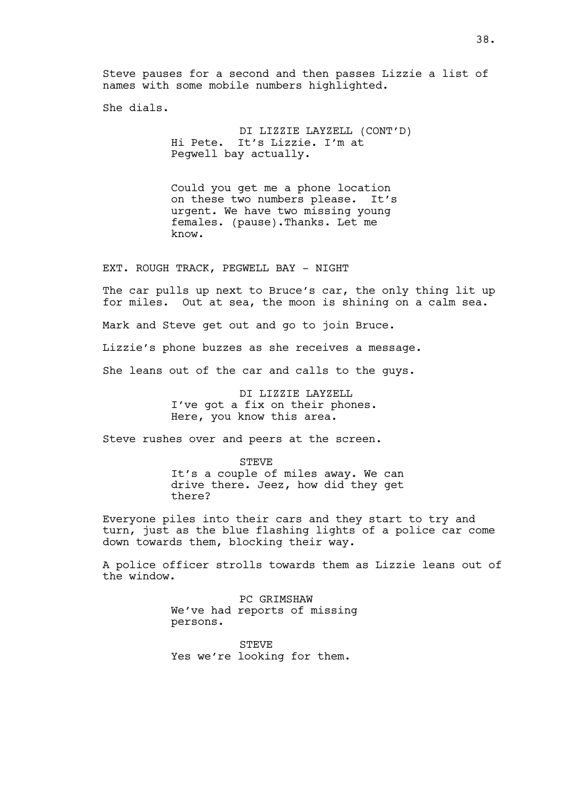Steve pauses for a second and then passes Lizzie a list of names with some mobile numbers highlighted.

She dials.

DI LIZZIE LAYZELL (CONT'D) Hi Pete. It's Lizzie. I'm at Pegwell bay actually.

Could you get me a phone location on these two numbers please. It's urgent. We have two missing young females. (pause).Thanks. Let me know.

EXT. ROUGH TRACK, PEGWELL BAY - NIGHT

The car pulls up next to Bruce's car, the only thing lit up for miles. Out at sea, the moon is shining on a calm sea.

Mark and Steve get out and go to join Bruce.

Lizzie's phone buzzes as she receives a message.

She leans out of the car and calls to the guys.

DI LIZZIE LAYZELL I've got a fix on their phones. Here, you know this area.

Steve rushes over and peers at the screen.

STEVE It's a couple of miles away. We can drive there. Jeez, how did they get there?

Everyone piles into their cars and they start to try and turn, just as the blue flashing lights of a police car come down towards them, blocking their way.

A police officer strolls towards them as Lizzie leans out of the window.

> PC GRIMSHAW We've had reports of missing persons.

STEVE Yes we're looking for them.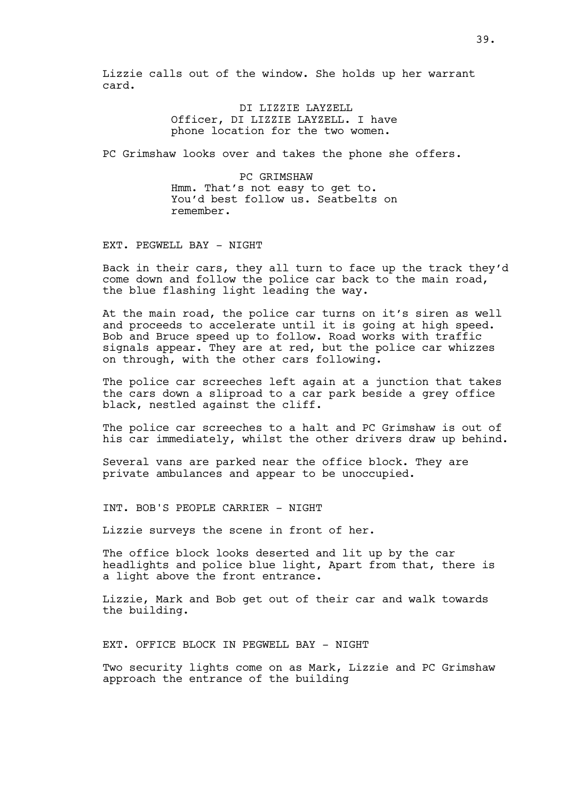Lizzie calls out of the window. She holds up her warrant card.

> DI LIZZIE LAYZELL Officer, DI LIZZIE LAYZELL. I have phone location for the two women.

PC Grimshaw looks over and takes the phone she offers.

PC GRIMSHAW Hmm. That's not easy to get to. You'd best follow us. Seatbelts on remember.

EXT. PEGWELL BAY - NIGHT

Back in their cars, they all turn to face up the track they'd come down and follow the police car back to the main road, the blue flashing light leading the way.

At the main road, the police car turns on it's siren as well and proceeds to accelerate until it is going at high speed. Bob and Bruce speed up to follow. Road works with traffic signals appear. They are at red, but the police car whizzes on through, with the other cars following.

The police car screeches left again at a junction that takes the cars down a sliproad to a car park beside a grey office black, nestled against the cliff.

The police car screeches to a halt and PC Grimshaw is out of his car immediately, whilst the other drivers draw up behind.

Several vans are parked near the office block. They are private ambulances and appear to be unoccupied.

INT. BOB'S PEOPLE CARRIER - NIGHT

Lizzie surveys the scene in front of her.

The office block looks deserted and lit up by the car headlights and police blue light, Apart from that, there is a light above the front entrance.

Lizzie, Mark and Bob get out of their car and walk towards the building.

EXT. OFFICE BLOCK IN PEGWELL BAY - NIGHT

Two security lights come on as Mark, Lizzie and PC Grimshaw approach the entrance of the building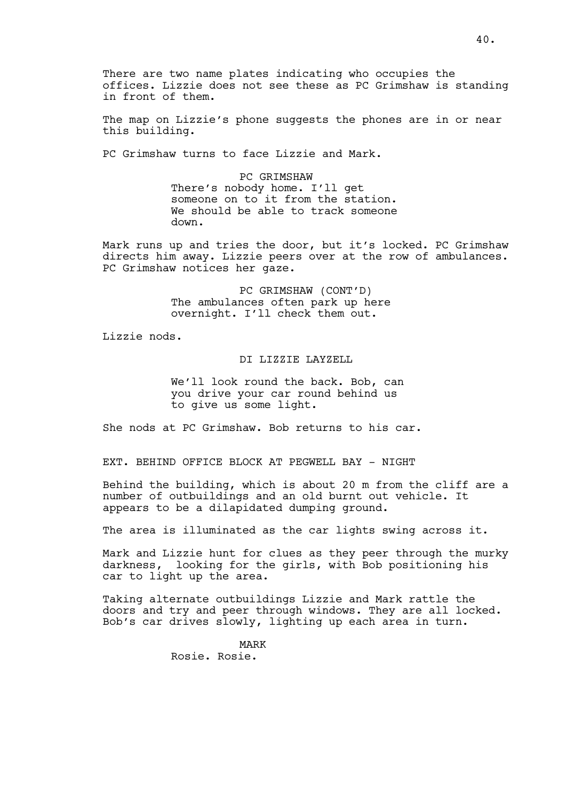There are two name plates indicating who occupies the offices. Lizzie does not see these as PC Grimshaw is standing in front of them.

The map on Lizzie's phone suggests the phones are in or near this building.

PC Grimshaw turns to face Lizzie and Mark.

PC GRIMSHAW There's nobody home. I'll get someone on to it from the station. We should be able to track someone down.

Mark runs up and tries the door, but it's locked. PC Grimshaw directs him away. Lizzie peers over at the row of ambulances. PC Grimshaw notices her gaze.

> PC GRIMSHAW (CONT'D) The ambulances often park up here overnight. I'll check them out.

Lizzie nods.

DI LIZZIE LAYZELL

We'll look round the back. Bob, can you drive your car round behind us to give us some light.

She nods at PC Grimshaw. Bob returns to his car.

EXT. BEHIND OFFICE BLOCK AT PEGWELL BAY - NIGHT

Behind the building, which is about 20 m from the cliff are a number of outbuildings and an old burnt out vehicle. It appears to be a dilapidated dumping ground.

The area is illuminated as the car lights swing across it.

Mark and Lizzie hunt for clues as they peer through the murky darkness, looking for the girls, with Bob positioning his car to light up the area.

Taking alternate outbuildings Lizzie and Mark rattle the doors and try and peer through windows. They are all locked. Bob's car drives slowly, lighting up each area in turn.

> MARK Rosie. Rosie.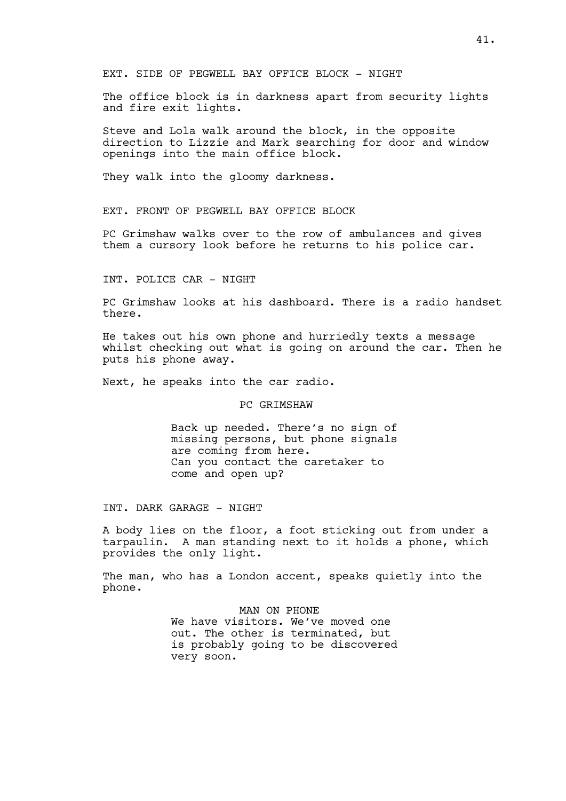EXT. SIDE OF PEGWELL BAY OFFICE BLOCK - NIGHT

The office block is in darkness apart from security lights and fire exit lights.

Steve and Lola walk around the block, in the opposite direction to Lizzie and Mark searching for door and window openings into the main office block.

They walk into the gloomy darkness.

EXT. FRONT OF PEGWELL BAY OFFICE BLOCK

PC Grimshaw walks over to the row of ambulances and gives them a cursory look before he returns to his police car.

INT. POLICE CAR - NIGHT

PC Grimshaw looks at his dashboard. There is a radio handset there.

He takes out his own phone and hurriedly texts a message whilst checking out what is going on around the car. Then he puts his phone away.

Next, he speaks into the car radio.

#### PC GRIMSHAW

Back up needed. There's no sign of missing persons, but phone signals are coming from here. Can you contact the caretaker to come and open up?

INT. DARK GARAGE - NIGHT

A body lies on the floor, a foot sticking out from under a tarpaulin. A man standing next to it holds a phone, which provides the only light.

The man, who has a London accent, speaks quietly into the phone.

> MAN ON PHONE We have visitors. We've moved one out. The other is terminated, but is probably going to be discovered very soon.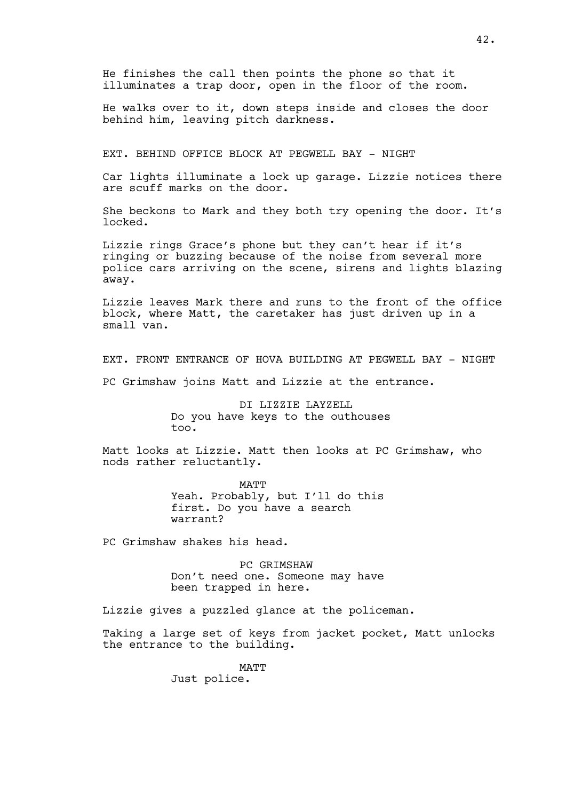He finishes the call then points the phone so that it illuminates a trap door, open in the floor of the room.

He walks over to it, down steps inside and closes the door behind him, leaving pitch darkness.

EXT. BEHIND OFFICE BLOCK AT PEGWELL BAY - NIGHT

Car lights illuminate a lock up garage. Lizzie notices there are scuff marks on the door.

She beckons to Mark and they both try opening the door. It's locked.

Lizzie rings Grace's phone but they can't hear if it's ringing or buzzing because of the noise from several more police cars arriving on the scene, sirens and lights blazing away.

Lizzie leaves Mark there and runs to the front of the office block, where Matt, the caretaker has just driven up in a small van.

EXT. FRONT ENTRANCE OF HOVA BUILDING AT PEGWELL BAY - NIGHT

PC Grimshaw joins Matt and Lizzie at the entrance.

DI LIZZIE LAYZELL Do you have keys to the outhouses too.

Matt looks at Lizzie. Matt then looks at PC Grimshaw, who nods rather reluctantly.

> MATT Yeah. Probably, but I'll do this first. Do you have a search warrant?

PC Grimshaw shakes his head.

PC GRIMSHAW Don't need one. Someone may have been trapped in here.

Lizzie gives a puzzled glance at the policeman.

Taking a large set of keys from jacket pocket, Matt unlocks the entrance to the building.

> MATT Just police.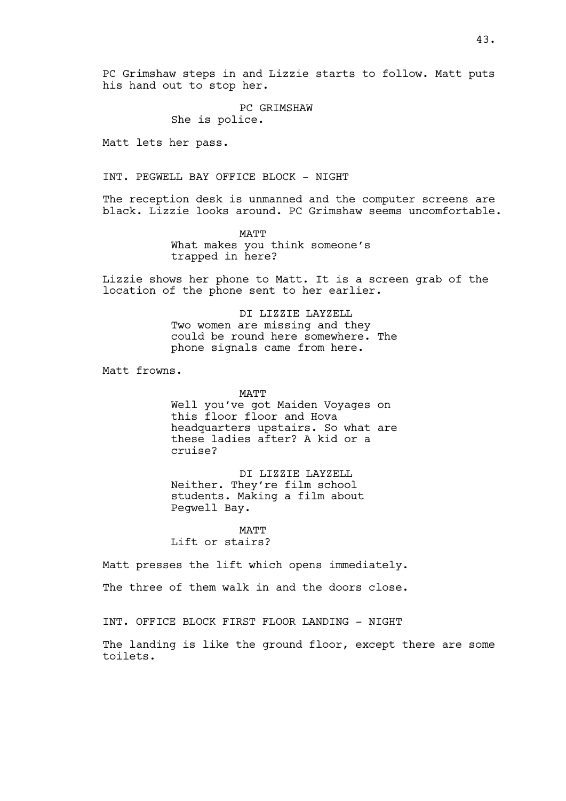PC Grimshaw steps in and Lizzie starts to follow. Matt puts his hand out to stop her.

> PC GRIMSHAW She is police.

Matt lets her pass.

INT. PEGWELL BAY OFFICE BLOCK - NIGHT

The reception desk is unmanned and the computer screens are black. Lizzie looks around. PC Grimshaw seems uncomfortable.

> MATT What makes you think someone's trapped in here?

Lizzie shows her phone to Matt. It is a screen grab of the location of the phone sent to her earlier.

> DI LIZZIE LAYZELL Two women are missing and they could be round here somewhere. The phone signals came from here.

Matt frowns.

MATT Well you've got Maiden Voyages on this floor floor and Hova headquarters upstairs. So what are these ladies after? A kid or a cruise?

DI LIZZIE LAYZELL Neither. They're film school students. Making a film about Pegwell Bay.

MATT Lift or stairs?

Matt presses the lift which opens immediately.

The three of them walk in and the doors close.

INT. OFFICE BLOCK FIRST FLOOR LANDING - NIGHT

The landing is like the ground floor, except there are some toilets.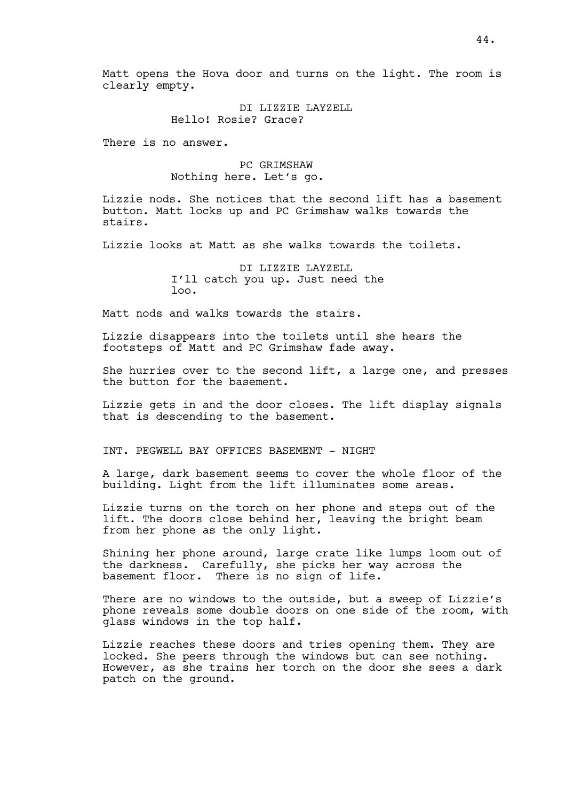Matt opens the Hova door and turns on the light. The room is clearly empty.

> DI LIZZIE LAYZELL Hello! Rosie? Grace?

There is no answer.

# PC GRIMSHAW Nothing here. Let's go.

Lizzie nods. She notices that the second lift has a basement button. Matt locks up and PC Grimshaw walks towards the stairs.

Lizzie looks at Matt as she walks towards the toilets.

DI LIZZIE LAYZELL I'll catch you up. Just need the loo.

Matt nods and walks towards the stairs.

Lizzie disappears into the toilets until she hears the footsteps of Matt and PC Grimshaw fade away.

She hurries over to the second lift, a large one, and presses the button for the basement.

Lizzie gets in and the door closes. The lift display signals that is descending to the basement.

INT. PEGWELL BAY OFFICES BASEMENT - NIGHT

A large, dark basement seems to cover the whole floor of the building. Light from the lift illuminates some areas.

Lizzie turns on the torch on her phone and steps out of the lift. The doors close behind her, leaving the bright beam from her phone as the only light.

Shining her phone around, large crate like lumps loom out of the darkness. Carefully, she picks her way across the basement floor. There is no sign of life.

There are no windows to the outside, but a sweep of Lizzie's phone reveals some double doors on one side of the room, with glass windows in the top half.

Lizzie reaches these doors and tries opening them. They are locked. She peers through the windows but can see nothing. However, as she trains her torch on the door she sees a dark patch on the ground.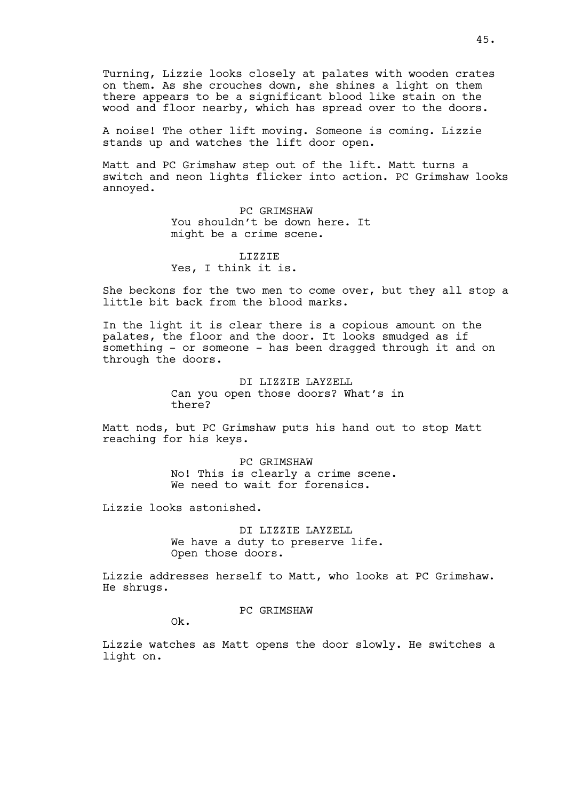Turning, Lizzie looks closely at palates with wooden crates on them. As she crouches down, she shines a light on them there appears to be a significant blood like stain on the wood and floor nearby, which has spread over to the doors.

A noise! The other lift moving. Someone is coming. Lizzie stands up and watches the lift door open.

Matt and PC Grimshaw step out of the lift. Matt turns a switch and neon lights flicker into action. PC Grimshaw looks annoyed.

> PC GRIMSHAW You shouldn't be down here. It might be a crime scene.

LIZZIE Yes, I think it is.

She beckons for the two men to come over, but they all stop a little bit back from the blood marks.

In the light it is clear there is a copious amount on the palates, the floor and the door. It looks smudged as if something - or someone - has been dragged through it and on through the doors.

> DI LIZZIE LAYZELL Can you open those doors? What's in there?

Matt nods, but PC Grimshaw puts his hand out to stop Matt reaching for his keys.

> PC GRIMSHAW No! This is clearly a crime scene. We need to wait for forensics.

Lizzie looks astonished.

DI LIZZIE LAYZELL We have a duty to preserve life. Open those doors.

Lizzie addresses herself to Matt, who looks at PC Grimshaw. He shrugs.

PC GRIMSHAW

Ok.

Lizzie watches as Matt opens the door slowly. He switches a light on.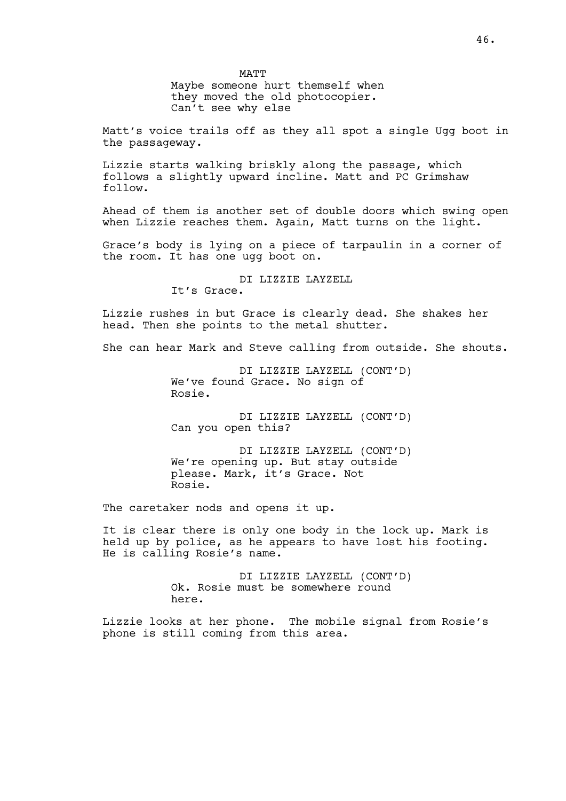MATT Maybe someone hurt themself when they moved the old photocopier. Can't see why else

Matt's voice trails off as they all spot a single Ugg boot in the passageway.

Lizzie starts walking briskly along the passage, which follows a slightly upward incline. Matt and PC Grimshaw follow.

Ahead of them is another set of double doors which swing open when Lizzie reaches them. Again, Matt turns on the light.

Grace's body is lying on a piece of tarpaulin in a corner of the room. It has one ugg boot on.

> DI LIZZIE LAYZELL It's Grace.

Lizzie rushes in but Grace is clearly dead. She shakes her head. Then she points to the metal shutter.

She can hear Mark and Steve calling from outside. She shouts.

DI LIZZIE LAYZELL (CONT'D) We've found Grace. No sign of Rosie.

DI LIZZIE LAYZELL (CONT'D) Can you open this?

DI LIZZIE LAYZELL (CONT'D) We're opening up. But stay outside please. Mark, it's Grace. Not Rosie.

The caretaker nods and opens it up.

It is clear there is only one body in the lock up. Mark is held up by police, as he appears to have lost his footing. He is calling Rosie's name.

> DI LIZZIE LAYZELL (CONT'D) Ok. Rosie must be somewhere round here.

Lizzie looks at her phone. The mobile signal from Rosie's phone is still coming from this area.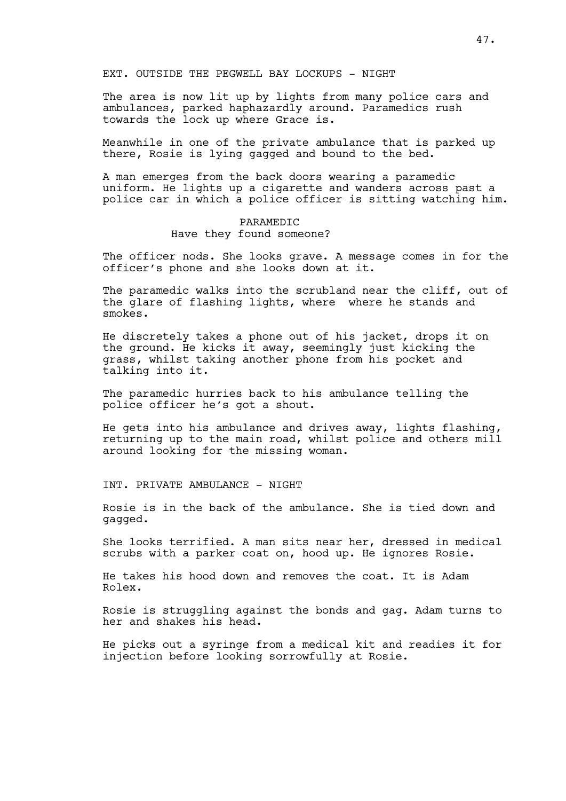# EXT. OUTSIDE THE PEGWELL BAY LOCKUPS - NIGHT

The area is now lit up by lights from many police cars and ambulances, parked haphazardly around. Paramedics rush towards the lock up where Grace is.

Meanwhile in one of the private ambulance that is parked up there, Rosie is lying gagged and bound to the bed.

A man emerges from the back doors wearing a paramedic uniform. He lights up a cigarette and wanders across past a police car in which a police officer is sitting watching him.

# PARAMEDIC Have they found someone?

The officer nods. She looks grave. A message comes in for the officer's phone and she looks down at it.

The paramedic walks into the scrubland near the cliff, out of the glare of flashing lights, where where he stands and smokes.

He discretely takes a phone out of his jacket, drops it on the ground. He kicks it away, seemingly just kicking the grass, whilst taking another phone from his pocket and talking into it.

The paramedic hurries back to his ambulance telling the police officer he's got a shout.

He gets into his ambulance and drives away, lights flashing, returning up to the main road, whilst police and others mill around looking for the missing woman.

INT. PRIVATE AMBULANCE - NIGHT

Rosie is in the back of the ambulance. She is tied down and gagged.

She looks terrified. A man sits near her, dressed in medical scrubs with a parker coat on, hood up. He ignores Rosie.

He takes his hood down and removes the coat. It is Adam Rolex.

Rosie is struggling against the bonds and gag. Adam turns to her and shakes his head.

He picks out a syringe from a medical kit and readies it for injection before looking sorrowfully at Rosie.